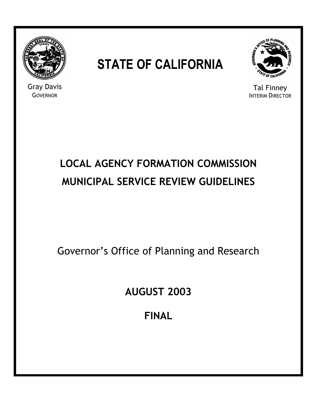

Gray Davis **GOVERNOR** 

# **STATE OF CALIFORNIA**



Tal Finney INTERIM DIRECTOR

# **LOCAL AGENCY FORMATION COMMISSION MUNICIPAL SERVICE REVIEW GUIDELINES**

Governor's Office of Planning and Research

**AUGUST 2003** 

**FINAL**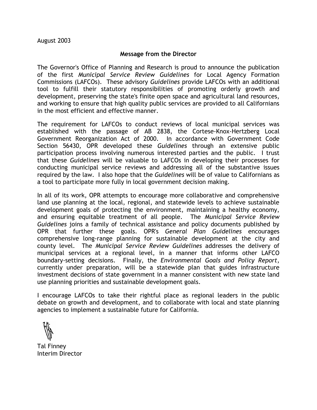#### **Message from the Director**

The Governor's Office of Planning and Research is proud to announce the publication of the first *Municipal Service Review Guidelines* for Local Agency Formation Commissions (LAFCOs). These advisory *Guidelines* provide LAFCOs with an additional tool to fulfill their statutory responsibilities of promoting orderly growth and development, preserving the state's finite open space and agricultural land resources, and working to ensure that high quality public services are provided to all Californians in the most efficient and effective manner.

The requirement for LAFCOs to conduct reviews of local municipal services was established with the passage of AB 2838, the Cortese-Knox-Hertzberg Local Government Reorganization Act of 2000. In accordance with Government Code Section 56430, OPR developed these *Guidelines* through an extensive public participation process involving numerous interested parties and the public. I trust that these *Guidelines* will be valuable to LAFCOs in developing their processes for conducting municipal service reviews and addressing all of the substantive issues required by the law. I also hope that the *Guidelines* will be of value to Californians as a tool to participate more fully in local government decision making.

In all of its work, OPR attempts to encourage more collaborative and comprehensive land use planning at the local, regional, and statewide levels to achieve sustainable development goals of protecting the environment, maintaining a healthy economy, and ensuring equitable treatment of all people. The *Municipal Service Review Guidelines* joins a family of technical assistance and policy documents published by OPR that further these goals. OPR's *General Plan Guidelines* encourages comprehensive long-range planning for sustainable development at the city and county level. The *Municipal Service Review Guidelines* addresses the delivery of municipal services at a regional level, in a manner that informs other LAFCO boundary-setting decisions. Finally, the *Environmental Goals and Policy Report*, currently under preparation, will be a statewide plan that guides infrastructure investment decisions of state government in a manner consistent with new state land use planning priorities and sustainable development goals.

I encourage LAFCOs to take their rightful place as regional leaders in the public debate on growth and development, and to collaborate with local and state planning agencies to implement a sustainable future for California.

Tal Finney Interim Director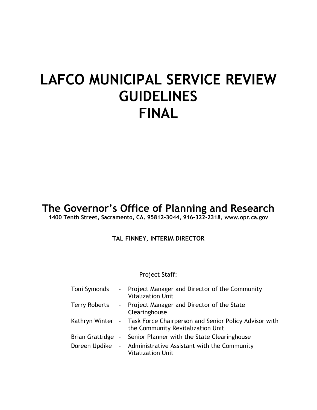# **LAFCO MUNICIPAL SERVICE REVIEW GUIDELINES FINAL**

**The Governor's Office of Planning and Research** 

**1400 Tenth Street, Sacramento, CA. 95812-3044, 916-322-2318, www.opr.ca.gov** 

**TAL FINNEY, INTERIM DIRECTOR** 

Project Staff:

| Toni Symonds           | - Project Manager and Director of the Community<br><b>Vitalization Unit</b>                                 |
|------------------------|-------------------------------------------------------------------------------------------------------------|
| <b>Terry Roberts</b>   | - Project Manager and Director of the State<br>Clearinghouse                                                |
|                        | Kathryn Winter - Task Force Chairperson and Senior Policy Advisor with<br>the Community Revitalization Unit |
| <b>Brian Grattidge</b> | - Senior Planner with the State Clearinghouse                                                               |
| Doreen Updike          | - Administrative Assistant with the Community<br><b>Vitalization Unit</b>                                   |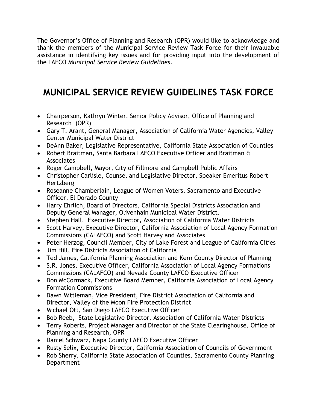The Governor's Office of Planning and Research (OPR) would like to acknowledge and thank the members of the Municipal Service Review Task Force for their invaluable assistance in identifying key issues and for providing input into the development of the LAFCO *Municipal Service Review Guidelines*.

# **MUNICIPAL SERVICE REVIEW GUIDELINES TASK FORCE**

- Chairperson, Kathryn Winter, Senior Policy Advisor, Office of Planning and Research (OPR)
- Gary T. Arant, General Manager, Association of California Water Agencies, Valley Center Municipal Water District
- DeAnn Baker, Legislative Representative, California State Association of Counties
- Robert Braitman, Santa Barbara LAFCO Executive Officer and Braitman & Associates
- Roger Campbell, Mayor, City of Fillmore and Campbell Public Affairs
- Christopher Carlisle, Counsel and Legislative Director, Speaker Emeritus Robert Hertzberg
- Roseanne Chamberlain, League of Women Voters, Sacramento and Executive Officer, El Dorado County
- Harry Ehrlich, Board of Directors, California Special Districts Association and Deputy General Manager, Olivenhain Municipal Water District.
- Stephen Hall, Executive Director, Association of California Water Districts
- Scott Harvey, Executive Director, California Association of Local Agency Formation Commissions (CALAFCO) and Scott Harvey and Associates
- Peter Herzog, Council Member, City of Lake Forest and League of California Cities
- Jim Hill, Fire Districts Association of California
- Ted James, California Planning Association and Kern County Director of Planning
- S.R. Jones, Executive Officer, California Association of Local Agency Formations Commissions (CALAFCO) and Nevada County LAFCO Executive Officer
- Don McCormack, Executive Board Member, California Association of Local Agency Formation Commissions
- Dawn Mittleman, Vice President, Fire District Association of California and Director, Valley of the Moon Fire Protection District
- Michael Ott, San Diego LAFCO Executive Officer
- Bob Reeb, State Legislative Director, Association of California Water Districts
- Terry Roberts, Project Manager and Director of the State Clearinghouse, Office of Planning and Research, OPR
- Daniel Schwarz, Napa County LAFCO Executive Officer
- Rusty Selix, Executive Director, California Association of Councils of Government
- Rob Sherry, California State Association of Counties, Sacramento County Planning **Department**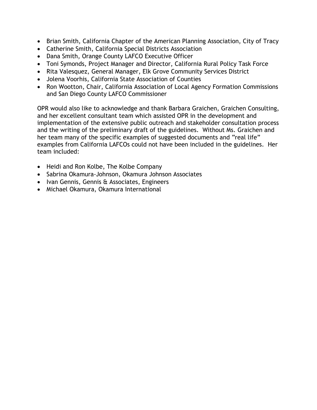- Brian Smith, California Chapter of the American Planning Association, City of Tracy
- Catherine Smith, California Special Districts Association
- Dana Smith, Orange County LAFCO Executive Officer
- Toni Symonds, Project Manager and Director, California Rural Policy Task Force
- Rita Valesquez, General Manager, Elk Grove Community Services District
- Jolena Voorhis, California State Association of Counties
- Ron Wootton, Chair, California Association of Local Agency Formation Commissions and San Diego County LAFCO Commissioner

OPR would also like to acknowledge and thank Barbara Graichen, Graichen Consulting, and her excellent consultant team which assisted OPR in the development and implementation of the extensive public outreach and stakeholder consultation process and the writing of the preliminary draft of the guidelines. Without Ms. Graichen and her team many of the specific examples of suggested documents and "real life" examples from California LAFCOs could not have been included in the guidelines. Her team included:

- Heidi and Ron Kolbe, The Kolbe Company
- Sabrina Okamura-Johnson, Okamura Johnson Associates
- Ivan Gennis, Gennis & Associates, Engineers
- Michael Okamura, Okamura International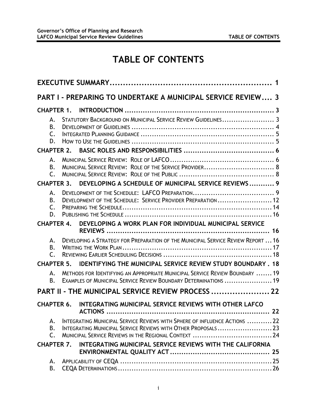# **TABLE OF CONTENTS**

|                                  | <b>PART I - PREPARING TO UNDERTAKE A MUNICIPAL SERVICE REVIEW 3</b>                                                                              |    |
|----------------------------------|--------------------------------------------------------------------------------------------------------------------------------------------------|----|
| <b>CHAPTER 1.</b>                |                                                                                                                                                  |    |
| А.<br>В.<br>$\mathsf{C}$ .<br>D. | STATUTORY BACKGROUND ON MUNICIPAL SERVICE REVIEW GUIDELINES 3                                                                                    |    |
| <b>CHAPTER 2.</b>                |                                                                                                                                                  |    |
| А.<br>В.<br>$\mathsf{C}$ .       | MUNICIPAL SERVICE REVIEW: ROLE OF THE SERVICE PROVIDER 8                                                                                         |    |
| <b>CHAPTER 3.</b>                | DEVELOPING A SCHEDULE OF MUNICIPAL SERVICE REVIEWS 9                                                                                             |    |
| А.<br>В.<br>$\mathsf{C}$ .<br>D. | DEVELOPMENT OF THE SCHEDULE: SERVICE PROVIDER PREPARATION  12                                                                                    |    |
| <b>CHAPTER 4.</b>                | DEVELOPING A WORK PLAN FOR INDIVIDUAL MUNICIPAL SERVICE                                                                                          | 16 |
| А.<br>В.<br>C                    | DEVELOPING A STRATEGY FOR PREPARATION OF THE MUNICIPAL SERVICE REVIEW REPORT  16                                                                 |    |
| <b>CHAPTER 5.</b>                | IDENTIFYING THE MUNICIPAL SERVICE REVIEW STUDY BOUNDARY.                                                                                         | 18 |
| А.<br>В.                         | METHODS FOR IDENTIFYING AN APPROPRIATE MUNICIPAL SERVICE REVIEW BOUNDARY  19<br>EXAMPLES OF MUNICIPAL SERVICE REVIEW BOUNDARY DETERMINATIONS  19 |    |
|                                  | PART II - THE MUNICIPAL SERVICE REVIEW PROCESS  22                                                                                               |    |
| <b>CHAPTER 6.</b>                | <b>INTEGRATING MUNICIPAL SERVICE REVIEWS WITH OTHER LAFCO</b>                                                                                    |    |
| А.<br>B.<br>$\mathsf{C}$ .       | INTEGRATING MUNICIPAL SERVICE REVIEWS WITH SPHERE OF INFLUENCE ACTIONS 22<br>INTEGRATING MUNICIPAL SERVICE REVIEWS WITH OTHER PROPOSALS  23      |    |
| <b>CHAPTER 7.</b>                | INTEGRATING MUNICIPAL SERVICE REVIEWS WITH THE CALIFORNIA                                                                                        |    |
| А.<br>В.                         |                                                                                                                                                  |    |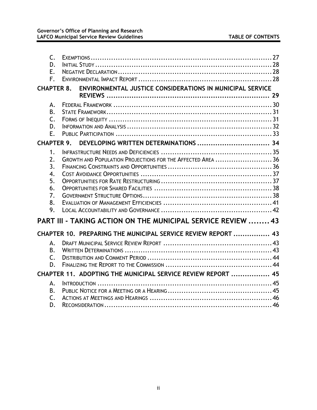| $\mathsf{C}$ .<br>D.<br>Ε.<br>F.                   |                                                                                                                                    |  |
|----------------------------------------------------|------------------------------------------------------------------------------------------------------------------------------------|--|
| <b>CHAPTER 8.</b>                                  | ENVIRONMENTAL JUSTICE CONSIDERATIONS IN MUNICIPAL SERVICE                                                                          |  |
| Α.<br><b>B.</b><br>$\mathsf{C}$ .<br>D.<br>Ε.      |                                                                                                                                    |  |
| <b>CHAPTER 9.</b>                                  | DEVELOPING WRITTEN DETERMINATIONS  34                                                                                              |  |
| 1.<br>2.<br>3.<br>4.<br>5.<br>6.<br>7.<br>8.<br>9. | GROWTH AND POPULATION PROJECTIONS FOR THE AFFECTED AREA  36<br><b>PART III - TAKING ACTION ON THE MUNICIPAL SERVICE REVIEW  43</b> |  |
|                                                    | CHAPTER 10. PREPARING THE MUNICIPAL SERVICE REVIEW REPORT  43                                                                      |  |
| А.<br>В.<br>$\mathsf{C}$ .<br>D.                   |                                                                                                                                    |  |
|                                                    | CHAPTER 11. ADOPTING THE MUNICIPAL SERVICE REVIEW REPORT  45                                                                       |  |
| А.<br><b>B.</b><br>C.<br>D.                        |                                                                                                                                    |  |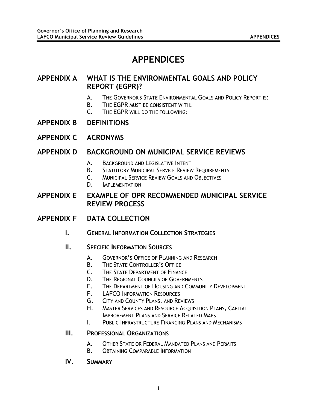## **APPENDICES**

#### **APPENDIX A WHAT IS THE ENVIRONMENTAL GOALS AND POLICY REPORT (EGPR)?**

- A. THE GOVERNOR'S STATE ENVIRONMENTAL GOALS AND POLICY REPORT IS:
- B. THE EGPR MUST BE CONSISTENT WITH:
- C. THE EGPR WILL DO THE FOLLOWING:
- **APPENDIX B DEFINITIONS**
- **APPENDIX C ACRONYMS**

#### **APPENDIX D BACKGROUND ON MUNICIPAL SERVICE REVIEWS**

- A. BACKGROUND AND LEGISLATIVE INTENT
- B. STATUTORY MUNICIPAL SERVICE REVIEW REQUIREMENTS
- C. MUNICIPAL SERVICE REVIEW GOALS AND OBJECTIVES
- D. IMPLEMENTATION

**APPENDIX E EXAMPLE OF OPR RECOMMENDED MUNICIPAL SERVICE REVIEW PROCESS** 

- **APPENDIX F DATA COLLECTION**
	- **I. GENERAL INFORMATION COLLECTION STRATEGIES**
	- **II. SPECIFIC INFORMATION SOURCES**
		- A. GOVERNOR'S OFFICE OF PLANNING AND RESEARCH
		- B. THE STATE CONTROLLER'S OFFICE
		- C. THE STATE DEPARTMENT OF FINANCE
		- D. THE REGIONAL COUNCILS OF GOVERNMENTS
		- E. THE DEPARTMENT OF HOUSING AND COMMUNITY DEVELOPMENT
		- F. LAFCO INFORMATION RESOURCES
		- G. CITY AND COUNTY PLANS, AND REVIEWS
		- H. MASTER SERVICES AND RESOURCE ACQUISITION PLANS, CAPITAL IMPROVEMENT PLANS AND SERVICE RELATED MAPS
			-
		- I. PUBLIC INFRASTRUCTURE FINANCING PLANS AND MECHANISMS

#### **III. PROFESSIONAL ORGANIZATIONS**

- A. OTHER STATE OR FEDERAL MANDATED PLANS AND PERMITS
- B. OBTAINING COMPARABLE INFORMATION
- **IV. SUMMARY**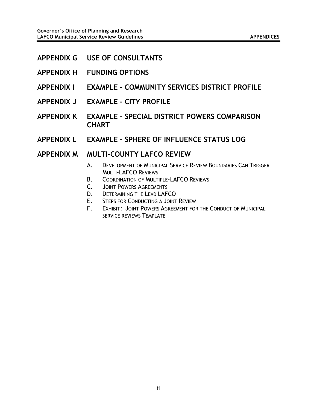- **APPENDIX G USE OF CONSULTANTS**
- **APPENDIX H FUNDING OPTIONS**
- **APPENDIX I EXAMPLE COMMUNITY SERVICES DISTRICT PROFILE**
- **APPENDIX J EXAMPLE CITY PROFILE**
- **APPENDIX K EXAMPLE SPECIAL DISTRICT POWERS COMPARISON CHART**
- **APPENDIX L EXAMPLE SPHERE OF INFLUENCE STATUS LOG**

#### **APPENDIX M MULTI-COUNTY LAFCO REVIEW**

- A. DEVELOPMENT OF MUNICIPAL SERVICE REVIEW BOUNDARIES CAN TRIGGER MULTI-LAFCO REVIEWS
- B. COORDINATION OF MULTIPLE-LAFCO REVIEWS
- C. JOINT POWERS AGREEMENTS
- D. DETERMINING THE LEAD LAFCO
- E. STEPS FOR CONDUCTING A JOINT REVIEW
- F. EXHIBIT: JOINT POWERS AGREEMENT FOR THE CONDUCT OF MUNICIPAL SERVICE REVIEWS TEMPLATE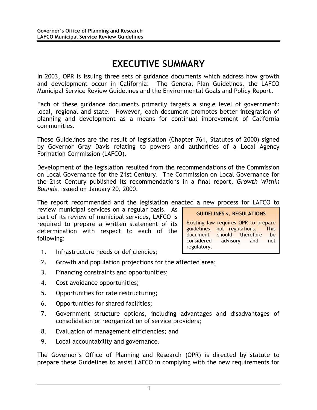## **EXECUTIVE SUMMARY**

<span id="page-9-0"></span>In 2003, OPR is issuing three sets of guidance documents which address how growth and development occur in California: The General Plan Guidelines, the LAFCO Municipal Service Review Guidelines and the Environmental Goals and Policy Report.

Each of these guidance documents primarily targets a single level of government: local, regional and state. However, each document promotes better integration of planning and development as a means for continual improvement of California communities.

These Guidelines are the result of legislation (Chapter 761, Statutes of 2000) signed by Governor Gray Davis relating to powers and authorities of a Local Agency Formation Commission (LAFCO).

Development of the legislation resulted from the recommendations of the Commission on Local Governance for the 21st Century. The Commission on Local Governance for the 21st Century published its recommendations in a final report, *Growth Within Bounds*, issued on January 20, 2000.

The report recommended and the legislation enacted a new process for LAFCO to

review municipal services on a regular basis. As part of its review of municipal services, LAFCO is required to prepare a written statement of its determination with respect to each of the following:

**GUIDELINES v. REGULATIONS** 

Existing law requires OPR to prepare guidelines, not regulations. This document should therefore be considered advisory and not regulatory.

- 1. Infrastructure needs or deficiencies;
- 2. Growth and population projections for the affected area;
- 3. Financing constraints and opportunities;
- 4. Cost avoidance opportunities;
- 5. Opportunities for rate restructuring;
- 6. Opportunities for shared facilities;
- 7. Government structure options, including advantages and disadvantages of consolidation or reorganization of service providers;
- 8. Evaluation of management efficiencies; and
- 9. Local accountability and governance.

The Governor's Office of Planning and Research (OPR) is directed by statute to prepare these Guidelines to assist LAFCO in complying with the new requirements for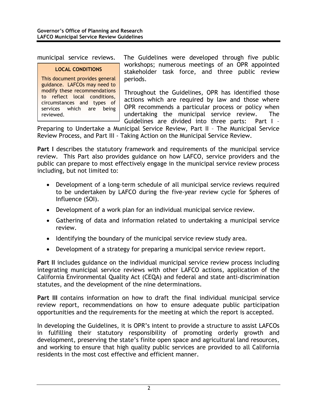#### **LOCAL CONDITIONS**

This document provides general guidance. LAFCOs may need to modify these recommendations to reflect local conditions, circumstances and types of services which are being reviewed.

municipal service reviews. The Guidelines were developed through five public workshops; numerous meetings of an OPR appointed stakeholder task force, and three public review periods.

> Throughout the Guidelines, OPR has identified those actions which are required by law and those where OPR recommends a particular process or policy when undertaking the municipal service review. The Guidelines are divided into three parts: Part I –

Preparing to Undertake a Municipal Service Review, Part II – The Municipal Service Review Process, and Part III - Taking Action on the Municipal Service Review.

**Part I** describes the statutory framework and requirements of the municipal service review. This Part also provides guidance on how LAFCO, service providers and the public can prepare to most effectively engage in the municipal service review process including, but not limited to:

- Development of a long-term schedule of all municipal service reviews required to be undertaken by LAFCO during the five-year review cycle for Spheres of Influence (SOI).
- Development of a work plan for an individual municipal service review.
- Gathering of data and information related to undertaking a municipal service review.
- Identifying the boundary of the municipal service review study area.
- Development of a strategy for preparing a municipal service review report.

**Part II** includes guidance on the individual municipal service review process including integrating municipal service reviews with other LAFCO actions, application of the California Environmental Quality Act (CEQA) and federal and state anti-discrimination statutes, and the development of the nine determinations.

**Part III** contains information on how to draft the final individual municipal service review report, recommendations on how to ensure adequate public participation opportunities and the requirements for the meeting at which the report is accepted.

In developing the Guidelines, it is OPR's intent to provide a structure to assist LAFCOs in fulfilling their statutory responsibility of promoting orderly growth and development, preserving the state's finite open space and agricultural land resources, and working to ensure that high quality public services are provided to all California residents in the most cost effective and efficient manner.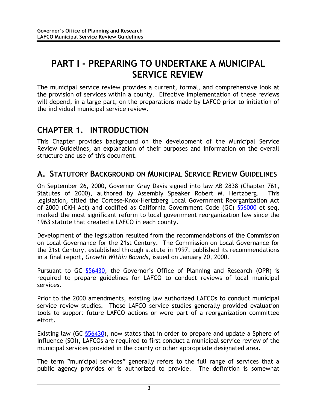# <span id="page-11-0"></span>**PART I - PREPARING TO UNDERTAKE A MUNICIPAL SERVICE REVIEW**

The municipal service review provides a current, formal, and comprehensive look at the provision of services within a county. Effective implementation of these reviews will depend, in a large part, on the preparations made by LAFCO prior to initiation of the individual municipal service review.

## **CHAPTER 1. INTRODUCTION**

This Chapter provides background on the development of the Municipal Service Review Guidelines, an explanation of their purposes and information on the overall structure and use of this document.

### **A. STATUTORY BACKGROUND ON MUNICIPAL SERVICE REVIEW GUIDELINES**

On September 26, 2000, Governor Gray Davis signed into law AB 2838 (Chapter 761, Statutes of 2000), authored by Assembly Speaker Robert M. Hertzberg. This legislation, titled the Cortese-Knox-Hertzberg Local Government Reorganization Act of 2000 (CKH Act) and codified as California Government Code (GC) §56000 et seq, marked the most significant reform to local government reorganization law since the 1963 statute that created a LAFCO in each county.

Development of the legislation resulted from the recommendations of the Commission on Local Governance for the 21st Century. The Commission on Local Governance for the 21st Century, established through statute in 1997, published its recommendations in a final report, *Growth Within Bounds*, issued on January 20, 2000.

Pursuant to GC §56430, the Governor's Office of Planning and Research (OPR) is required to prepare guidelines for LAFCO to conduct reviews of local municipal services.

Prior to the 2000 amendments, existing law authorized LAFCOs to conduct municipal service review studies. These LAFCO service studies generally provided evaluation tools to support future LAFCO actions or were part of a reorganization committee effort.

Existing law (GC \$56430), now states that in order to prepare and update a Sphere of Influence (SOI), LAFCOs are required to first conduct a municipal service review of the municipal services provided in the county or other appropriate designated area.

The term "municipal services" generally refers to the full range of services that a public agency provides or is authorized to provide. The definition is somewhat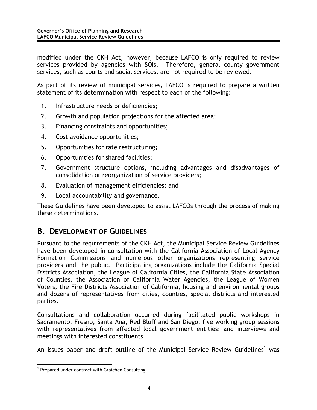<span id="page-12-0"></span>modified under the CKH Act, however, because LAFCO is only required to review services provided by agencies with SOIs. Therefore, general county government services, such as courts and social services, are not required to be reviewed.

As part of its review of municipal services, LAFCO is required to prepare a written statement of its determination with respect to each of the following:

- 1. Infrastructure needs or deficiencies;
- 2. Growth and population projections for the affected area;
- 3. Financing constraints and opportunities;
- 4. Cost avoidance opportunities;
- 5. Opportunities for rate restructuring;
- 6. Opportunities for shared facilities;
- 7. Government structure options, including advantages and disadvantages of consolidation or reorganization of service providers;
- 8. Evaluation of management efficiencies; and
- 9. Local accountability and governance.

These Guidelines have been developed to assist LAFCOs through the process of making these determinations.

#### **B. DEVELOPMENT OF GUIDELINES**

Pursuant to the requirements of the CKH Act, the Municipal Service Review Guidelines have been developed in consultation with the California Association of Local Agency Formation Commissions and numerous other organizations representing service providers and the public. Participating organizations include the California Special Districts Association, the League of California Cities, the California State Association of Counties, the Association of California Water Agencies, the League of Women Voters, the Fire Districts Association of California, housing and environmental groups and dozens of representatives from cities, counties, special districts and interested parties.

Consultations and collaboration occurred during facilitated public workshops in Sacramento, Fresno, Santa Ana, Red Bluff and San Diego; five working group sessions with representatives from affected local government entities; and interviews and meetings with interested constituents.

Anissues paper and draft outline of the Municipal Service Review Guidelines<sup>1</sup> was

<span id="page-12-1"></span> $\frac{1}{1}$  $1$  Prepared under contract with Graichen Consulting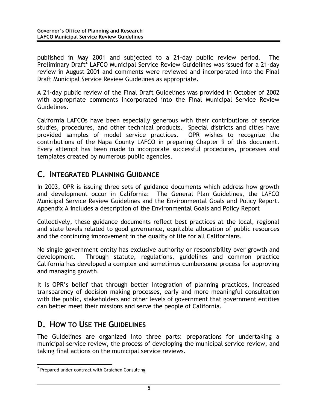<span id="page-13-0"></span>published in May 2001 and subjected to a 21-day public review period. The Preliminary Draft<sup>2</sup> LAFCO Municipal Service Review Guidelines was issued for a 21-day review in August 2001 and comments were reviewed and incorporated into the Final Draft Municipal Service Review Guidelines as appropriate.

A 21-day public review of the Final Draft Guidelines was provided in October of 2002 with appropriate comments incorporated into the Final Municipal Service Review Guidelines.

California LAFCOs have been especially generous with their contributions of service studies, procedures, and other technical products. Special districts and cities have provided samples of model service practices. OPR wishes to recognize the contributions of the Napa County LAFCO in preparing Chapter 9 of this document. Every attempt has been made to incorporate successful procedures, processes and templates created by numerous public agencies.

### **C. INTEGRATED PLANNING GUIDANCE**

In 2003, OPR is issuing three sets of guidance documents which address how growth and development occur in California: The General Plan Guidelines, the LAFCO Municipal Service Review Guidelines and the Environmental Goals and Policy Report. Appendix A includes a description of the Environmental Goals and Policy Report

Collectively, these guidance documents reflect best practices at the local, regional and state levels related to good governance, equitable allocation of public resources and the continuing improvement in the quality of life for all Californians.

No single government entity has exclusive authority or responsibility over growth and development. Through statute, regulations, guidelines and common practice California has developed a complex and sometimes cumbersome process for approving and managing growth.

It is OPR's belief that through better integration of planning practices, increased transparency of decision making processes, early and more meaningful consultation with the public, stakeholders and other levels of government that government entities can better meet their missions and serve the people of California.

### **D. HOW TO USE THE GUIDELINES**

The Guidelines are organized into three parts: preparations for undertaking a municipal service review, the process of developing the municipal service review, and taking final actions on the municipal service reviews.

<span id="page-13-1"></span> $\overline{2}$  $2$  Prepared under contract with Graichen Consulting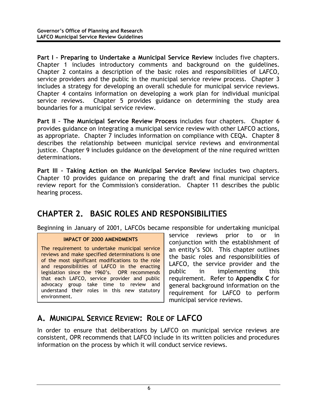<span id="page-14-0"></span>**Part I – Preparing to Undertake a Municipal Service Review** includes five chapters. Chapter 1 includes introductory comments and background on the guidelines. Chapter 2 contains a description of the basic roles and responsibilities of LAFCO, service providers and the public in the municipal service review process. Chapter 3 includes a strategy for developing an overall schedule for municipal service reviews. Chapter 4 contains information on developing a work plan for individual municipal service reviews. Chapter 5 provides guidance on determining the study area boundaries for a municipal service review.

**Part II – The Municipal Service Review Process** includes four chapters. Chapter 6 provides guidance on integrating a municipal service review with other LAFCO actions, as appropriate. Chapter 7 includes information on compliance with CEQA. Chapter 8 describes the relationship between municipal service reviews and environmental justice. Chapter 9 includes guidance on the development of the nine required written determinations.

**Part III – Taking Action on the Municipal Service Review** includes two chapters. Chapter 10 provides guidance on preparing the draft and final municipal service review report for the Commission's consideration. Chapter 11 describes the public hearing process.

### **CHAPTER 2. BASIC ROLES AND RESPONSIBILITIES**

Beginning in January of 2001, LAFCOs became responsible for undertaking municipal

#### **IMPACT OF 2000 AMENDMENTS**

The requirement to undertake municipal service reviews and make specified determinations is one of the most significant modifications to the role and responsibilities of LAFCO in the enacting legislation since the 1960's. OPR recommends that each LAFCO, service provider and public advocacy group take time to review and understand their roles in this new statutory environment.

service reviews prior to or in conjunction with the establishment of an entity's SOI. This chapter outlines the basic roles and responsibilities of LAFCO, the service provider and the public in implementing this requirement. Refer to **Appendix C** for general background information on the requirement for LAFCO to perform municipal service reviews.

### **A. MUNICIPAL SERVICE REVIEW: ROLE OF LAFCO**

In order to ensure that deliberations by LAFCO on municipal service reviews are consistent, OPR recommends that LAFCO include in its written policies and procedures information on the process by which it will conduct service reviews.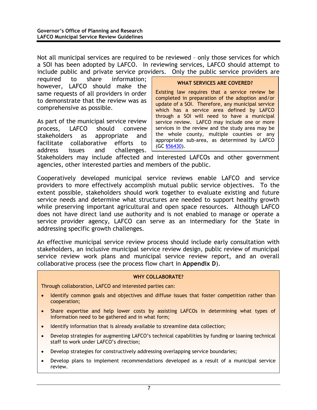Not all municipal services are required to be reviewed – only those services for which a SOI has been adopted by LAFCO. In reviewing services, LAFCO should attempt to include public and private service providers. Only the public service providers are

required to share information; however, LAFCO should make the same requests of all providers in order to demonstrate that the review was as comprehensive as possible.

As part of the municipal service review process, LAFCO should convene stakeholders as appropriate and facilitate collaborative efforts to address issues and challenges.

#### **WHAT SERVICES ARE COVERED?**

Existing law requires that a service review be completed in preparation of the adoption and/or update of a SOI. Therefore, any municipal service which has a service area defined by LAFCO through a SOI will need to have a municipal service review. LAFCO may include one or more services in the review and the study area may be the whole county, multiple counties or any appropriate sub-area, as determined by L AFCO (GC §56430).

Stakeholders may include affected and interested LAFCOs and other government agencies, other interested parties and members of the public.

Cooperatively developed municipal service reviews enable LAFCO and service providers to more effectively accomplish mutual public service objectives. To the extent possible, stakeholders should work together to evaluate existing and future service needs and determine what structures are needed to support healthy growth while preserving important agricultural and open space resources. Although LAFCO does not have direct land use authority and is not enabled to manage or operate a service provider agency, LAFCO can serve as an intermediary for the State in addressing specific growth challenges.

An effective municipal service review process should include early consultation with stakeholders, an inclusive municipal service review design, public review of municipal service review work plans and municipal service review report, and an overall collaborative process (see the process flow chart in **Appendix D**).

#### **WHY COLLABORATE?**

Through collaboration, LAFCO and interested parties can:

- Identify common goals and objectives and diffuse issues that foster competition rather than cooperation;
- Share expertise and help lower costs by assisting LAFCOs in determining what types of information need to be gathered and in what form;
- Identify information that is already available to streamline data collection;
- Develop strategies for augmenting LAFCO's technical capabilities by funding or loaning technical staff to work under LAFCO's direction;
- Develop strategies for constructively addressing overlapping service boundaries;
- Develop plans to implement recommendations developed as a result of a municipal service review.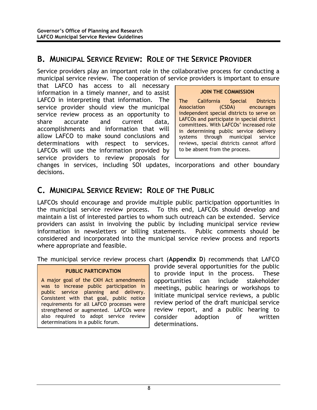#### <span id="page-16-0"></span>**B. MUNICIPAL SERVICE REVIEW: ROLE OF THE SERVICE PROVIDER**

Service providers play an important role in the collaborative process for conducting a municipal service review. The cooperation of service providers is important to ensure

that LAFCO has access to all necessary information in a timely manner, and to assist LAFCO in interpreting that information. The service provider should view the municipal service review process as an opportunity to share accurate and current data, accomplishments and information that will allow LAFCO to make sound conclusions and determinations with respect to services. LAFCOs will use the information provided by service providers to review proposals for changes in services, including SOI updates, incorporations and other boundary decisions.

#### **JOIN THE COMMISSION**

The California Special Districts<br>Association (CSDA) encourages Association (CSDA) encourages independent special districts to serve on LAFCOs and participate in special district committees. With LAFCOs' increased role in determining public service delivery systems through municipal service reviews, special districts cannot afford to be absent from the process.

### **C. MUNICIPAL SERVICE REVIEW: ROLE OF THE PUBLIC**

LAFCOs should encourage and provide multiple public participation opportunities in the municipal service review process. To this end, LAFCOs should develop and maintain a list of interested parties to whom such outreach can be extended. Service providers can assist in involving the public by including municipal service review information in newsletters or billing statements. Public comments should be considered and incorporated into the municipal service review process and reports where appropriate and feasible.

The municipal service review process chart (**Appendix D**) recommends that LAFCO

#### **PUBLIC PARTICIPATION**

A major goal of the CKH Act amendments was to increase public participation in public service planning and delivery. Consistent with that goal, public notice requirements for all LAFCO processes were strengthened or augmented. LAFCOs were also required to adopt service review determinations in a public forum.

provide several opportunities for the public to provide input in the process. These opportunities can include stakeholder meetings, public hearings or workshops to initiate municipal service reviews, a public review period of the draft municipal service review report, and a public hearing to consider adoption of written determinations.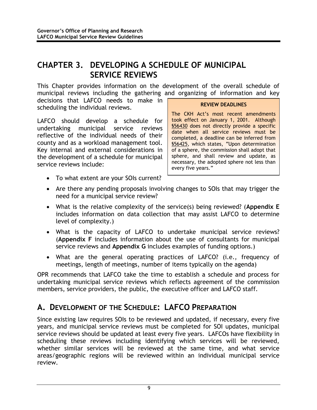### <span id="page-17-0"></span>**CHAPTER 3. DEVELOPING A SCHEDULE OF MUNICIPAL SERVICE REVIEWS**

This Chapter provides information on the development of the overall schedule of municipal reviews including the gathering and organizing of information and key

decisions that LAFCO needs to make in scheduling the individual reviews.

LAFCO should develop a schedule for undertaking municipal service reviews reflective of the individual needs of their county and as a workload management tool. Key internal and external considerations in the development of a schedule for municipal service reviews include:

#### **REVIEW DEADLINES**

The CKH Act's most recent amendments took effect on January 1, 2001. Although §56430 does not directly provide a specific date when all service reviews must be completed, a deadline can be inferred from §56425, which states, "Upon determination of a sphere, the commission shall adopt that sphere, and shall review and update, as necessary, the adopted sphere not less than every five years."

- To what extent are your SOIs current?
- Are there any pending proposals involving changes to SOIs that may trigger the need for a municipal service review?
- What is the relative complexity of the service(s) being reviewed? (**Appendix E** includes information on data collection that may assist LAFCO to determine level of complexity.)
- What is the capacity of LAFCO to undertake municipal service reviews? (**Appendix F** includes information about the use of consultants for municipal service reviews and **Appendix G** includes examples of funding options.)
- What are the general operating practices of LAFCO? (i.e., frequency of meetings, length of meetings, number of items typically on the agenda)

OPR recommends that LAFCO take the time to establish a schedule and process for undertaking municipal service reviews which reflects agreement of the commission members, service providers, the public, the executive officer and LAFCO staff.

### **A. DEVELOPMENT OF THE SCHEDULE: LAFCO PREPARATION**

Since existing law requires SOIs to be reviewed and updated, if necessary, every five years, and municipal service reviews must be completed for SOI updates, municipal service reviews should be updated at least every five years. LAFCOs have flexibility in scheduling these reviews including identifying which services will be reviewed, whether similar services will be reviewed at the same time, and what service areas/geographic regions will be reviewed within an individual municipal service review.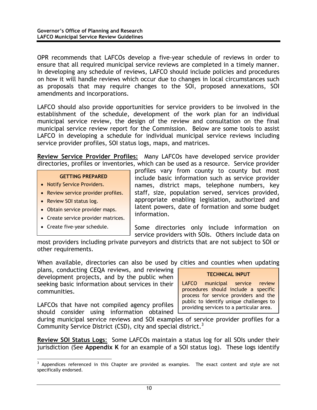OPR recommends that LAFCOs develop a five-year schedule of reviews in order to ensure that all required municipal service reviews are completed in a timely manner. In developing any schedule of reviews, LAFCO should include policies and procedures on how it will handle reviews which occur due to changes in local circumstances such as proposals that may require changes to the SOI, proposed annexations, SOI amendments and incorporations.

LAFCO should also provide opportunities for service providers to be involved in the establishment of the schedule, development of the work plan for an individual municipal service review, the design of the review and consultation on the final municipal service review report for the Commission. Below are some tools to assist LAFCO in developing a schedule for individual municipal service reviews including service provider profiles, SOI status logs, maps, and matrices.

**Review Service Provider Profiles:** Many LAFCOs have developed service provider directories, profiles or inventories, which can be used as a resource. Service provider

#### **GETTING PREPARED**

- Notify Service Providers.
- Review service provider profiles.
- Review SOI status log.
- Obtain service provider maps.
- Create service provider matrices.
- Create five-year schedule.

profiles vary from county to county but most include basic information such as service provider names, district maps, telephone numbers, key staff, size, population served, services provided, appropriate enabling legislation, authorized and latent powers, date of formation and some budget information.

Some directories only include information on service providers with SOIs. Others include data on

most providers including private purveyors and districts that are not subject to SOI or other requirements.

When available, directories can also be used by cities and counties when updating

plans, conducting CEQA reviews, and reviewing development projects, and by the public when seeking basic information about services in their communities.

LAFCOs that have not compiled agency profiles should consider using information obtained

#### **TECHNICAL INPUT**

LAFCO municipal service review procedures should include a specific process for service providers and the public to identify unique challenges to providing services to a particular area.

during municipal service reviews and SOI examples of service provider profiles for a Community Service District (CSD), city and special district.<sup>3</sup>

**Review SOI Status Logs**: Some LAFCOs maintain a status log for all SOIs under their jurisdiction (See **Appendix K** for an example of a SOI status log). These logs identify

<sup>-&</sup>lt;br>3 <sup>3</sup> Appendices referenced in this Chapter are provided as examples. The exact content and style are not specifically endorsed.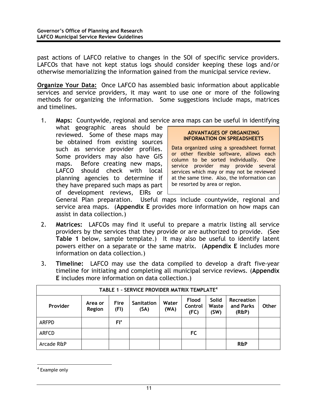past actions of LAFCO relative to changes in the SOI of specific service providers. LAFCOs that have not kept status logs should consider keeping these logs and/or otherwise memorializing the information gained from the municipal service review.

**Organize Your Data:** Once LAFCO has assembled basic information about applicable services and service providers, it may want to use one or more of the following methods for organizing the information. Some suggestions include maps, matrices and timelines.

1. **Maps:** Countywide, regional and service area maps can be useful in identifying

what geographic areas should be reviewed. Some of these maps may be obtained from existing sources such as service provider profiles. Some providers may also have GIS maps. Before creating new maps, LAFCO should check with local planning agencies to determine if they have prepared such maps as part of development reviews, EIRs or

#### **ADVANTAGES OF ORGANIZING INFORMATION ON SPREADSHEETS**

Data organized using a spreadsheet format or other flexible software, allows each column to be sorted individually. One service provider may provide several services which may or may not be reviewed at the same time. Also, the information can be resorted by area or region.

General Plan preparation. Useful maps include countywide, regional and service area maps. (**Appendix E** provides more information on how maps can assist in data collection.)

- 2. **Matrices:** LAFCOs may find it useful to prepare a matrix listing all service providers by the services that they provide or are authorized to provide. (See **Table 1** below, sample template.) It may also be useful to identify latent powers either on a separate or the same matrix. (**Appendix E** includes more information on data collection.)
- 3. **Timeline:** LAFCO may use the data compiled to develop a draft five-year timeline for initiating and completing all municipal service reviews. (**Appendix E** includes more information on data collection.)

|              | TABLE 1 - SERVICE PROVIDER MATRIX TEMPLATE <sup>4</sup> |                     |                    |               |                          |                        |                                         |              |
|--------------|---------------------------------------------------------|---------------------|--------------------|---------------|--------------------------|------------------------|-----------------------------------------|--------------|
| Provider     | Area or<br>Region                                       | <b>Fire</b><br>(FI) | Sanitation<br>(SA) | Water<br>(WA) | Flood<br>Control<br>(FC) | Solid<br>Waste<br>(SW) | <b>Recreation</b><br>and Parks<br>(R&P) | <b>Other</b> |
| ARFPD        |                                                         | $F1^*$              |                    |               |                          |                        |                                         |              |
| <b>ARFCD</b> |                                                         |                     |                    |               | FC                       |                        |                                         |              |
| Arcade R&P   |                                                         |                     |                    |               |                          |                        | <b>R&amp;P</b>                          |              |

<span id="page-19-0"></span> $\frac{1}{4}$ <sup>4</sup> Example only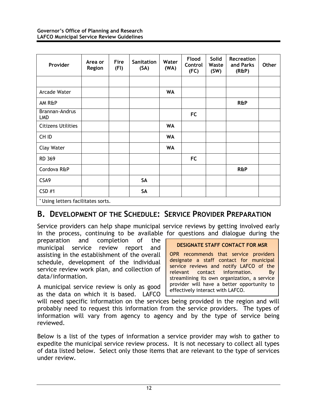<span id="page-20-0"></span>

| Provider                           | Area or<br>Region | Fire<br>(FI) | <b>Sanitation</b><br>(SA) | Water<br>(WA) | Flood<br>Control<br>(FC) | Solid<br>Waste<br>(SW) | Recreation<br>and Parks<br>$(R\&P)$ | Other |
|------------------------------------|-------------------|--------------|---------------------------|---------------|--------------------------|------------------------|-------------------------------------|-------|
|                                    |                   |              |                           |               |                          |                        |                                     |       |
| Arcade Water                       |                   |              |                           | <b>WA</b>     |                          |                        |                                     |       |
| AM R&P                             |                   |              |                           |               |                          |                        | <b>R&amp;P</b>                      |       |
| Brannan-Andrus<br><b>LMD</b>       |                   |              |                           |               | <b>FC</b>                |                        |                                     |       |
| <b>Citizens Utilities</b>          |                   |              |                           | <b>WA</b>     |                          |                        |                                     |       |
| CH ID                              |                   |              |                           | <b>WA</b>     |                          |                        |                                     |       |
| <b>Clay Water</b>                  |                   |              |                           | <b>WA</b>     |                          |                        |                                     |       |
| RD 369                             |                   |              |                           |               | <b>FC</b>                |                        |                                     |       |
| Cordova R&P                        |                   |              |                           |               |                          |                        | <b>R&amp;P</b>                      |       |
| CSA9                               |                   |              | SA                        |               |                          |                        |                                     |       |
| CSD #1                             |                   |              | SA                        |               |                          |                        |                                     |       |
| * Using letters facilitates sorts. |                   |              |                           |               |                          |                        |                                     |       |

#### **B. DEVELOPMENT OF THE SCHEDULE: SERVICE PROVIDER PREPARATION**

Service providers can help shape municipal service reviews by getting involved early in the process, continuing to be available for questions and dialogue during the

preparation and completion of the municipal service review report and assisting in the establishment of the overall schedule, development of the individual service review work plan, and collection of data/information.

A municipal service review is only as good as the data on which it is based. LAFCO

#### **DESIGNATE STAFF CONTACT FOR MSR**

OPR recommends that service providers designate a staff contact for municipal service reviews and notify LAFCO of the relevant contact information. By streamlining its own organization, a service provider will have a better opportunity to effectively interact with LAFCO.

will need specific information on the services being provided in the region and will probably need to request this information from the service providers. The types of information will vary from agency to agency and by the type of service being reviewed.

Below is a list of the types of information a service provider may wish to gather to expedite the municipal service review process. It is not necessary to collect all types of data listed below. Select only those items that are relevant to the type of services under review.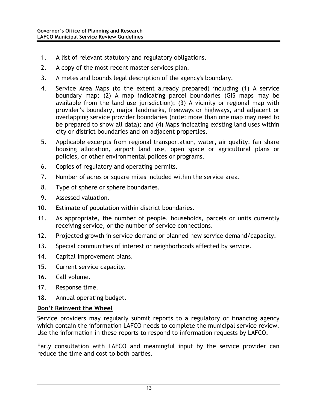- 1. A list of relevant statutory and regulatory obligations.
- 2. A copy of the most recent master services plan.
- 3. A metes and bounds legal description of the agency's boundary.
- 4. Service Area Maps (to the extent already prepared) including (1) A service boundary map; (2) A map indicating parcel boundaries (GIS maps may be available from the land use jurisdiction); (3) A vicinity or regional map with provider's boundary, major landmarks, freeways or highways, and adjacent or overlapping service provider boundaries (note: more than one map may need to be prepared to show all data); and (4) Maps indicating existing land uses within city or district boundaries and on adjacent properties.
- 5. Applicable excerpts from regional transportation, water, air quality, fair share housing allocation, airport land use, open space or agricultural plans or policies, or other environmental polices or programs.
- 6. Copies of regulatory and operating permits.
- 7. Number of acres or square miles included within the service area.
- 8. Type of sphere or sphere boundaries.
- 9. Assessed valuation.
- 10. Estimate of population within district boundaries.
- 11. As appropriate, the number of people, households, parcels or units currently receiving service, or the number of service connections.
- 12. Projected growth in service demand or planned new service demand/capacity.
- 13. Special communities of interest or neighborhoods affected by service.
- 14. Capital improvement plans.
- 15. Current service capacity.
- 16. Call volume.
- 17. Response time.
- 18. Annual operating budget.

#### **Don't Reinvent the Wheel**

Service providers may regularly submit reports to a regulatory or financing agency which contain the information LAFCO needs to complete the municipal service review. Use the information in these reports to respond to information requests by LAFCO.

Early consultation with LAFCO and meaningful input by the service provider can reduce the time and cost to both parties.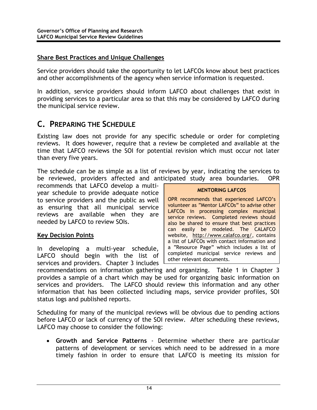#### <span id="page-22-0"></span>**Share Best Practices and Unique Challenges**

Service providers should take the opportunity to let LAFCOs know about best practices and other accomplishments of the agency when service information is requested.

In addition, service providers should inform LAFCO about challenges that exist in providing services to a particular area so that this may be considered by LAFCO during the municipal service review.

#### **C. PREPARING THE SCHEDULE**

Existing law does not provide for any specific schedule or order for completing reviews. It does however, require that a review be completed and available at the time that LAFCO reviews the SOI for potential revision which must occur not later than every five years.

The schedule can be as simple as a list of reviews by year, indicating the services to be reviewed, providers affected and anticipated study area boundaries. OPR

recommends that LAFCO develop a multiyear schedule to provide adequate notice to service providers and the public as well as ensuring that all municipal service reviews are available when they are needed by LAFCO to review SOIs.

#### **Key Decision Points**

In developing a multi-year schedule, LAFCO should begin with the list of services and providers. Chapter 3 includes

#### **MENTORING LAFCOS**

OPR recommends that experienced LAFCO's volunteer as "Mentor LAFCOs" to advise other LAFCOs in processing complex municipal service reviews. Completed reviews should also be shared to ensure that best practices can easily be modeled. The CALAFCO website, http://www.calafco.org/, contains a list of LAFCOs with contact information and a "Resource Page" which includes a list of completed municipal service reviews and other relevant documents.

recommendations on information gathering and organizing. Table 1 in Chapter 3 provides a sample of a chart which may be used for organizing basic information on services and providers. The LAFCO should review this information and any other information that has been collected including maps, service provider profiles, SOI status logs and published reports.

Scheduling for many of the municipal reviews will be obvious due to pending actions before LAFCO or lack of currency of the SOI review. After scheduling these reviews, LAFCO may choose to consider the following:

• **Growth and Service Patterns** - Determine whether there are particular patterns of development or services which need to be addressed in a more timely fashion in order to ensure that LAFCO is meeting its mission for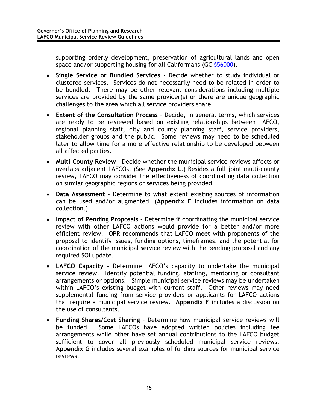supporting orderly development, preservation of agricultural lands and open space and/or supporting housing for all Californians (GC  $$56000$ ).

- **Single Service or Bundled Services**  Decide whether to study individual or clustered services. Services do not necessarily need to be related in order to be bundled. There may be other relevant considerations including multiple services are provided by the same provider(s) or there are unique geographic challenges to the area which all service providers share.
- **Extent of the Consultation Process** Decide, in general terms, which services are ready to be reviewed based on existing relationships between LAFCO, regional planning staff, city and county planning staff, service providers, stakeholder groups and the public. Some reviews may need to be scheduled later to allow time for a more effective relationship to be developed between all affected parties.
- **Multi-County Review** Decide whether the municipal service reviews affects or overlaps adjacent LAFCOs. (See **Appendix L**.) Besides a full joint multi-county review, LAFCO may consider the effectiveness of coordinating data collection on similar geographic regions or services being provided.
- **Data Assessment**  Determine to what extent existing sources of information can be used and/or augmented. (**Appendix E** includes information on data collection.)
- **Impact of Pending Proposals** Determine if coordinating the municipal service review with other LAFCO actions would provide for a better and/or more efficient review. OPR recommends that LAFCO meet with proponents of the proposal to identify issues, funding options, timeframes, and the potential for coordination of the municipal service review with the pending proposal and any required SOI update.
- **LAFCO Capacity**  Determine LAFCO's capacity to undertake the municipal service review. Identify potential funding, staffing, mentoring or consultant arrangements or options. Simple municipal service reviews may be undertaken within LAFCO's existing budget with current staff. Other reviews may need supplemental funding from service providers or applicants for LAFCO actions that require a municipal service review. **Appendix F** includes a discussion on the use of consultants.
- **Funding Shares/Cost Sharing** Determine how municipal service reviews will be funded. Some LAFCOs have adopted written policies including fee arrangements while other have set annual contributions to the LAFCO budget sufficient to cover all previously scheduled municipal service reviews. **Appendix G** includes several examples of funding sources for municipal service reviews.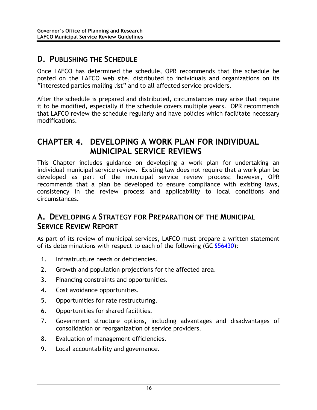#### <span id="page-24-0"></span>**D. PUBLISHING THE SCHEDULE**

Once LAFCO has determined the schedule, OPR recommends that the schedule be posted on the LAFCO web site, distributed to individuals and organizations on its "interested parties mailing list" and to all affected service providers.

After the schedule is prepared and distributed, circumstances may arise that require it to be modified, especially if the schedule covers multiple years. OPR recommends that LAFCO review the schedule regularly and have policies which facilitate necessary modifications.

### **CHAPTER 4. DEVELOPING A WORK PLAN FOR INDIVIDUAL MUNICIPAL SERVICE REVIEWS**

This Chapter includes guidance on developing a work plan for undertaking an individual municipal service review. Existing law does not require that a work plan be developed as part of the municipal service review process; however, OPR recommends that a plan be developed to ensure compliance with existing laws, consistency in the review process and applicability to local conditions and circumstances.

### **A. DEVELOPING A STRATEGY FOR PREPARATION OF THE MUNICIPAL SERVICE REVIEW REPORT**

As part of its review of municipal services, LAFCO must prepare a written statement of its determinations with respect to each of the following (GC §56430):

- 1. Infrastructure needs or deficiencies.
- 2. Growth and population projections for the affected area.
- 3. Financing constraints and opportunities.
- 4. Cost avoidance opportunities.
- 5. Opportunities for rate restructuring.
- 6. Opportunities for shared facilities.
- 7. Government structure options, including advantages and disadvantages of consolidation or reorganization of service providers.
- 8. Evaluation of management efficiencies.
- 9. Local accountability and governance.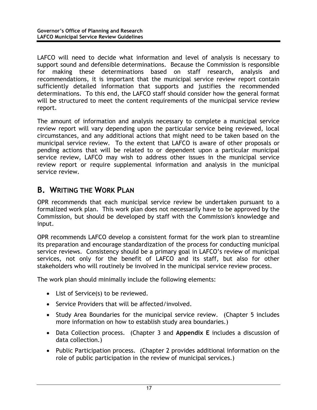<span id="page-25-0"></span>LAFCO will need to decide what information and level of analysis is necessary to support sound and defensible determinations. Because the Commission is responsible for making these determinations based on staff research, analysis and recommendations, it is important that the municipal service review report contain sufficiently detailed information that supports and justifies the recommended determinations. To this end, the LAFCO staff should consider how the general format will be structured to meet the content requirements of the municipal service review report.

The amount of information and analysis necessary to complete a municipal service review report will vary depending upon the particular service being reviewed, local circumstances, and any additional actions that might need to be taken based on the municipal service review. To the extent that LAFCO is aware of other proposals or pending actions that will be related to or dependent upon a particular municipal service review, LAFCO may wish to address other issues in the municipal service review report or require supplemental information and analysis in the municipal service review.

### **B. WRITING THE WORK PLAN**

OPR recommends that each municipal service review be undertaken pursuant to a formalized work plan. This work plan does not necessarily have to be approved by the Commission, but should be developed by staff with the Commission's knowledge and input.

OPR recommends LAFCO develop a consistent format for the work plan to streamline its preparation and encourage standardization of the process for conducting municipal service reviews. Consistency should be a primary goal in LAFCO's review of municipal services, not only for the benefit of LAFCO and its staff, but also for other stakeholders who will routinely be involved in the municipal service review process.

The work plan should minimally include the following elements:

- List of Service(s) to be reviewed.
- Service Providers that will be affected/involved.
- Study Area Boundaries for the municipal service review. (Chapter 5 includes more information on how to establish study area boundaries.)
- Data Collection process. (Chapter 3 and **Appendix E** includes a discussion of data collection.)
- Public Participation process. (Chapter 2 provides additional information on the role of public participation in the review of municipal services.)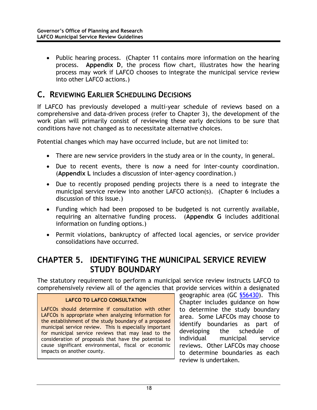<span id="page-26-0"></span>• Public hearing process. (Chapter 11 contains more information on the hearing process. **Appendix D**, the process flow chart, illustrates how the hearing process may work if LAFCO chooses to integrate the municipal service review into other LAFCO actions.)

### **C. REVIEWING EARLIER SCHEDULING DECISIONS**

If LAFCO has previously developed a multi-year schedule of reviews based on a comprehensive and data-driven process (refer to Chapter 3), the development of the work plan will primarily consist of reviewing these early decisions to be sure that conditions have not changed as to necessitate alternative choices.

Potential changes which may have occurred include, but are not limited to:

- There are new service providers in the study area or in the county, in general.
- Due to recent events, there is now a need for inter-county coordination. (**Appendix L** includes a discussion of inter-agency coordination.)
- Due to recently proposed pending projects there is a need to integrate the municipal service review into another LAFCO action(s). (Chapter 6 includes a discussion of this issue.)
- Funding which had been proposed to be budgeted is not currently available, requiring an alternative funding process. (**Appendix G** includes additional information on funding options.)
- Permit violations, bankruptcy of affected local agencies, or service provider consolidations have occurred.

#### **CHAPTER 5. IDENTIFYING THE MUNICIPAL SERVICE REVIEW STUDY BOUNDARY**

The statutory requirement to perform a municipal service review instructs LAFCO to comprehensively review all of the agencies that provide services within a designated

#### **LAFCO TO LAFCO CONSULTATION**

LAFCOs should determine if consultation with other LAFCOs is appropriate when analyzing information for the establishment of the study boundary of a proposed municipal service review. This is especially important for municipal service reviews that may lead to the consideration of proposals that have the potential to cause significant environmental, fiscal or economic impacts on another county.

geographic area (GC §56430). This Chapter includes guidance on how to determine the study boundary area. Some LAFCOs may choose to identify boundaries as part of developing the schedule of individual municipal service reviews. Other LAFCOs may choose to determine boundaries as each review is undertaken.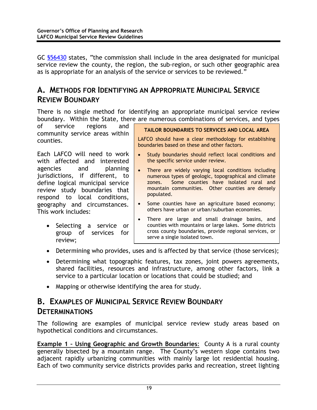This work includes:

review;

• Selecting a service or group of services for

<span id="page-27-0"></span>GC §56430 states, "the commission shall include in the area designated for municipal service review the county, the region, the sub-region, or such other geographic area as is appropriate for an analysis of the service or services to be reviewed."

#### **A. METHODS FOR IDENTIFYING AN APPROPRIATE MUNICIPAL SERVICE REVIEW BOUNDARY**

There is no single method for identifying an appropriate municipal service review boundary. Within the State, there are numerous combinations of services, and types

| of service regions<br>and<br>community service areas within                                                                                                  | TAILOR BOUNDARIES TO SERVICES AND LOCAL AREA                                                                                                                                                                                                   |
|--------------------------------------------------------------------------------------------------------------------------------------------------------------|------------------------------------------------------------------------------------------------------------------------------------------------------------------------------------------------------------------------------------------------|
| counties.                                                                                                                                                    | LAFCO should have a clear methodology for establishing<br>boundaries based on these and other factors.                                                                                                                                         |
| Each LAFCO will need to work<br>with affected and interested                                                                                                 | Study boundaries should reflect local conditions and<br>$\bullet$<br>the specific service under review.                                                                                                                                        |
| agencies and planning<br>jurisdictions, if different, to<br>define logical municipal service<br>review study boundaries that<br>respond to local conditions, | There are widely varying local conditions including<br>$\bullet$<br>numerous types of geologic, topographical and climate<br>Some counties have isolated rural and<br>zones.<br>mountain communities. Other counties are densely<br>populated. |
| geography and circumstances.                                                                                                                                 | • Some counties have an agriculture based economy;                                                                                                                                                                                             |

- Some counties have an agriculture based economy; others have urban or urban/suburban economies.
- There are large and small drainage basins, and counties with mountains or large lakes. Some districts cross county boundaries, provide regional services, or serve a single isolated town.
- Determining who provides, uses and is affected by that service (those services);
- Determining what topographic features, tax zones, joint powers agreements, shared facilities, resources and infrastructure, among other factors, link a service to a particular location or locations that could be studied; and
- Mapping or otherwise identifying the area for study.

### **B. EXAMPLES OF MUNICIPAL SERVICE REVIEW BOUNDARY DETERMINATIONS**

The following are examples of municipal service review study areas based on hypothetical conditions and circumstances.

**Example 1 - Using Geographic and Growth Boundaries:** County A is a rural county generally bisected by a mountain range. The County's western slope contains two adjacent rapidly urbanizing communities with mainly large lot residential housing. Each of two community service districts provides parks and recreation, street lighting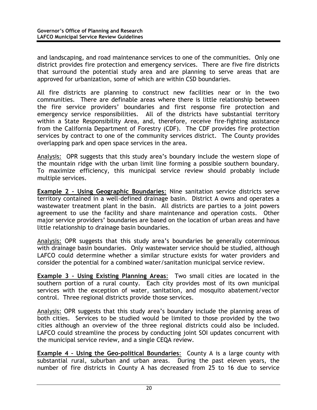and landscaping, and road maintenance services to one of the communities. Only one district provides fire protection and emergency services. There are five fire districts that surround the potential study area and are planning to serve areas that are approved for urbanization, some of which are within CSD boundaries.

All fire districts are planning to construct new facilities near or in the two communities. There are definable areas where there is little relationship between the fire service providers' boundaries and first response fire protection and emergency service responsibilities. All of the districts have substantial territory within a State Responsibility Area, and, therefore, receive fire-fighting assistance from the California Department of Forestry (CDF). The CDF provides fire protection services by contract to one of the community services district. The County provides overlapping park and open space services in the area.

Analysis: OPR suggests that this study area's boundary include the western slope of the mountain ridge with the urban limit line forming a possible southern boundary. To maximize efficiency, this municipal service review should probably include multiple services.

**Example 2 – Using Geographic Boundaries**: Nine sanitation service districts serve territory contained in a well-defined drainage basin. District A owns and operates a wastewater treatment plant in the basin. All districts are parties to a joint powers agreement to use the facility and share maintenance and operation costs. Other major service providers' boundaries are based on the location of urban areas and have little relationship to drainage basin boundaries.

Analysis: OPR suggests that this study area's boundaries be generally coterminous with drainage basin boundaries. Only wastewater service should be studied, although LAFCO could determine whether a similar structure exists for water providers and consider the potential for a combined water/sanitation municipal service review.

**Example 3 – Using Existing Planning Areas**: Two small cities are located in the southern portion of a rural county. Each city provides most of its own municipal services with the exception of water, sanitation, and mosquito abatement/vector control. Three regional districts provide those services.

Analysis: OPR suggests that this study area's boundary include the planning areas of both cities. Services to be studied would be limited to those provided by the two cities although an overview of the three regional districts could also be included. LAFCO could streamline the process by conducting joint SOI updates concurrent with the municipal service review, and a single CEQA review.

**Example 4 – Using the Geo-political Boundaries**: County A is a large county with substantial rural, suburban and urban areas. During the past eleven years, the number of fire districts in County A has decreased from 25 to 16 due to service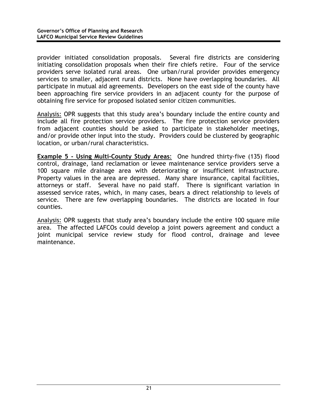provider initiated consolidation proposals. Several fire districts are considering initiating consolidation proposals when their fire chiefs retire. Four of the service providers serve isolated rural areas. One urban/rural provider provides emergency services to smaller, adjacent rural districts. None have overlapping boundaries. All participate in mutual aid agreements. Developers on the east side of the county have been approaching fire service providers in an adjacent county for the purpose of obtaining fire service for proposed isolated senior citizen communities.

Analysis: OPR suggests that this study area's boundary include the entire county and include all fire protection service providers. The fire protection service providers from adjacent counties should be asked to participate in stakeholder meetings, and/or provide other input into the study. Providers could be clustered by geographic location, or urban/rural characteristics.

**Example 5 - Using Multi-County Study Areas**: One hundred thirty-five (135) flood control, drainage, land reclamation or levee maintenance service providers serve a 100 square mile drainage area with deteriorating or insufficient infrastructure. Property values in the area are depressed. Many share insurance, capital facilities, attorneys or staff. Several have no paid staff. There is significant variation in assessed service rates, which, in many cases, bears a direct relationship to levels of service. There are few overlapping boundaries. The districts are located in four counties.

Analysis: OPR suggests that study area's boundary include the entire 100 square mile area. The affected LAFCOs could develop a joint powers agreement and conduct a joint municipal service review study for flood control, drainage and levee maintenance.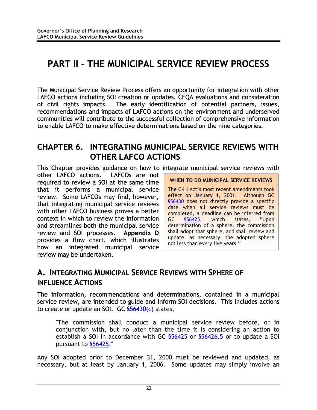# <span id="page-30-0"></span>**PART II - THE MUNICIPAL SERVICE REVIEW PROCESS**

The Municipal Service Review Process offers an opportunity for integration with other LAFCO actions including SOI creation or updates, CEQA evaluations and consideration of civil rights impacts. The early identification of potential partners, issues, recommendations and impacts of LAFCO actions on the environment and underserved communities will contribute to the successful collection of comprehensive information to enable LAFCO to make effective determinations based on the nine categories.

### **CHAPTER 6. INTEGRATING MUNICIPAL SERVICE REVIEWS WITH OTHER LAFCO ACTIONS**

This Chapter provides guidance on how to integrate municipal service reviews with

other LAFCO actions. LAFCOs are not required to review a SOI at the same time that it performs a municipal service review. Some LAFCOs may find, however, that integrating municipal service reviews with other LAFCO business proves a better context in which to review the information and streamlines both the municipal service review and SOI processes. **Appendix D** provides a flow chart, which illustrates how an integrated municipal service review may be undertaken.

**WHEN TO DO MUNICIPAL SERVICE REVIEWS** 

The CKH Act's most recent amendments took effect on January 1, 2001. Although GC §56430 does not directly provide a specific date when all service reviews must be completed, a deadline can be inferred from GC §56425, which states, "Upon determination of a sphere, the commission shall adopt that sphere, and shall review and update, as necessary, the adopted sphere not less than every five years."

### **A. INTEGRATING MUNICIPAL SERVICE REVIEWS WITH SPHERE OF INFLUENCE ACTIONS**

The information, recommendations and determinations, contained in a municipal service review, are intended to guide and inform SOI decisions. This includes actions to create or update an SOI. GC <u>\$56430(c)</u> states,

"The commission shall conduct a municipal service review before, or in conjunction with, but no later than the time it is considering an action to establish a SOI in accordance with GC \$56425 or \$56426.5 or to update a SOI pursuant to §56425."

Any SOI adopted prior to December 31, 2000 must be reviewed and updated, as necessary, but at least by January 1, 2006. Some updates may simply involve an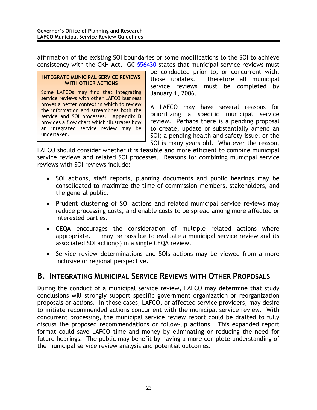<span id="page-31-0"></span>affirmation of the existing SOI boundaries or some modifications to the SOI to achieve consistency with the CKH Act. GC §56430 states that municipal service reviews must

#### **INTEGRATE MUNICIPAL SERVICE REVIEWS WITH OTHER ACTIONS**

Some LAFCOs may find that integrating service reviews with other LAFCO business proves a better context in which to review the information and streamlines both the service and SOI processes. **Appendix D** provides a flow chart which illustrates how an integrated service review may be undertaken.

be conducted prior to, or concurrent with, those updates. Therefore all municipal service reviews must be completed by January 1, 2006.

A LAFCO may have several reasons for prioritizing a specific municipal service review. Perhaps there is a pending proposal to create, update or substantially amend an SOI; a pending health and safety issue; or the SOI is many years old. Whatever the reason,

LAFCO should consider whether it is feasible and more efficient to combine municipal service reviews and related SOI processes. Reasons for combining municipal service reviews with SOI reviews include:

- SOI actions, staff reports, planning documents and public hearings may be consolidated to maximize the time of commission members, stakeholders, and the general public.
- Prudent clustering of SOI actions and related municipal service reviews may reduce processing costs, and enable costs to be spread among more affected or interested parties.
- CEQA encourages the consideration of multiple related actions where appropriate. It may be possible to evaluate a municipal service review and its associated SOI action(s) in a single CEQA review.
- Service review determinations and SOIs actions may be viewed from a more inclusive or regional perspective.

#### **B. INTEGRATING MUNICIPAL SERVICE REVIEWS WITH OTHER PROPOSALS**

During the conduct of a municipal service review, LAFCO may determine that study conclusions will strongly support specific government organization or reorganization proposals or actions. In those cases, LAFCO, or affected service providers, may desire to initiate recommended actions concurrent with the municipal service review. With concurrent processing, the municipal service review report could be drafted to fully discuss the proposed recommendations or follow-up actions. This expanded report format could save LAFCO time and money by eliminating or reducing the need for future hearings. The public may benefit by having a more complete understanding of the municipal service review analysis and potential outcomes.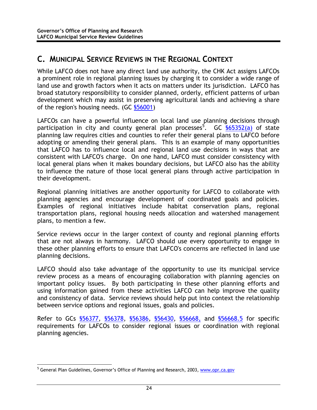### <span id="page-32-0"></span>**C. MUNICIPAL SERVICE REVIEWS IN THE REGIONAL CONTEXT**

While LAFCO does not have any direct land use authority, the CHK Act assigns LAFCOs a prominent role in regional planning issues by charging it to consider a wide range of land use and growth factors when it acts on matters under its jurisdiction. LAFCO has broad statutory responsibility to consider planned, orderly, efficient patterns of urban development which may assist in preserving agricultural lands and achieving a share of the region's housing needs. (GC §56001)

LAFCOs can have a powerful influence on local land use planning decisions through participation in city and county general plan processes<sup>[5](#page-32-1)</sup>. GC **§65352(a)** of state planning law requires cities and counties to refer their general plans to LAFCO before adopting or amending their general plans. This is an example of many opportunities that LAFCO has to influence local and regional land use decisions in ways that are consistent with LAFCO's charge. On one hand, LAFCO must consider consistency with local general plans when it makes boundary decisions, but LAFCO also has the ability to influence the nature of those local general plans through active participation in their development.

Regional planning initiatives are another opportunity for LAFCO to collaborate with planning agencies and encourage development of coordinated goals and policies. Examples of regional initiatives include habitat conservation plans, regional transportation plans, regional housing needs allocation and watershed management plans, to mention a few.

Service reviews occur in the larger context of county and regional planning efforts that are not always in harmony. LAFCO should use every opportunity to engage in these other planning efforts to ensure that LAFCO's concerns are reflected in land use planning decisions.

LAFCO should also take advantage of the opportunity to use its municipal service review process as a means of encouraging collaboration with planning agencies on important policy issues. By both participating in these other planning efforts and using information gained from these activities LAFCO can help improve the quality and consistency of data. Service reviews should help put into context the relationship between service options and regional issues, goals and policies.

Refer to GCs §56377, §56378, §56386, §56430, §56668, and §56668.5 for specific requirements for LAFCOs to consider regional issues or coordination with regional planning agencies.

<span id="page-32-1"></span><sup>-&</sup>lt;br>5 <sup>5</sup> General Plan Guidelines, Governor's Office of Planning and Research, 2003, www.opr.ca.gov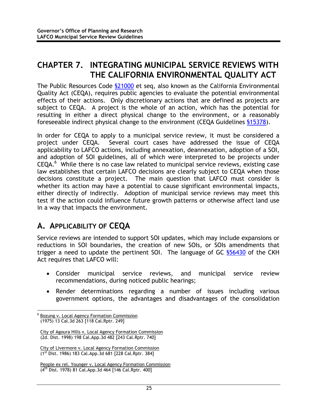### <span id="page-33-0"></span>**CHAPTER 7. INTEGRATING MUNICIPAL SERVICE REVIEWS WITH THE CALIFORNIA ENVIRONMENTAL QUALITY ACT**

The Public Resources Code \$21000 et seq, also known as the California Environmental Quality Act (CEQA), requires public agencies to evaluate the potential environmental effects of their actions. Only discretionary actions that are defined as projects are subject to CEQA. A project is the whole of an action, which has the potential for resulting in either a direct physical change to the environment, or a reasonably foreseeable indirect physical change to the environment (CEQA Guidelines §15378).

In order for CEQA to apply to a municipal service review, it must be considered a project under CEQA. Several court cases have addressed the issue of CEQA applicability to LAFCO actions, including annexation, deannexation, adoption of a SOI, and adoption of SOI guidelines, all of which were interpreted to be projects under CEQA.<sup>6</sup> While there is no case law related to municipal service reviews, existing case law establishes that certain LAFCO decisions are clearly subject to CEQA when those decisions constitute a project. The main question that LAFCO must consider is whether its action may have a potential to cause significant environmental impacts, either directly of indirectly. Adoption of municipal service reviews may meet this test if the action could influence future growth patterns or otherwise affect land use in a way that impacts the environment.

### **A. APPLICABILITY OF CEQA**

Service reviews are intended to support SOI updates, which may include expansions or reductions in SOI boundaries, the creation of new SOIs, or SOIs amendments that trigger a need to update the pertinent SOI. The language of GC §56430 of the CKH Act requires that LAFCO will:

- Consider municipal service reviews, and municipal service review recommendations, during noticed public hearings;
- Render determinations regarding a number of issues including various government options, the advantages and disadvantages of the consolidation

<span id="page-33-1"></span>6  $<sup>6</sup>$  Bozung v. Local Agency Formation Commission</sup> (1975) 13 Cal.3d 263 [118 Cal.Rptr. 249]

City of Agoura Hills v. Local Agency Formation Commission (2d. Dist. 1998) 198 Cal.App.3d 482 [243 Cal.Rptr. 740]

City of Livermore v. Local Agency Formation Commission (1st Dist. 1986) 183 Cal.App.3d 681 [228 Cal.Rptr. 384]

People ex rel. Younger v. Local Agency Formation Commission ( $4<sup>th</sup>$  Dist. 1978) 81 Cal.App.3d 464 [146 Cal.Rptr. 400]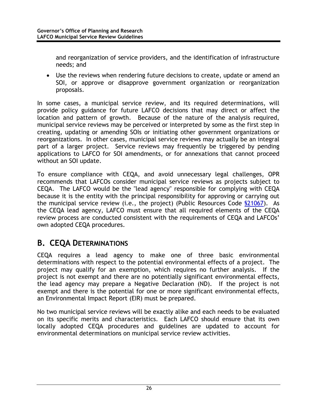<span id="page-34-0"></span>and reorganization of service providers, and the identification of infrastructure needs; and

• Use the reviews when rendering future decisions to create, update or amend an SOI, or approve or disapprove government organization or reorganization proposals.

In some cases, a municipal service review, and its required determinations, will provide policy guidance for future LAFCO decisions that may direct or affect the location and pattern of growth. Because of the nature of the analysis required, municipal service reviews may be perceived or interpreted by some as the first step in creating, updating or amending SOIs or initiating other government organizations or reorganizations. In other cases, municipal service reviews may actually be an integral part of a larger project. Service reviews may frequently be triggered by pending applications to LAFCO for SOI amendments, or for annexations that cannot proceed without an SOI update.

To ensure compliance with CEQA, and avoid unnecessary legal challenges, OPR recommends that LAFCOs consider municipal service reviews as projects subject to CEQA. The LAFCO would be the "lead agency" responsible for complying with CEQA because it is the entity with the principal responsibility for approving or carrying out the municipal service review (i.e., the project) (Public Resources Code §21067). As the CEQA lead agency, LAFCO must ensure that all required elements of the CEQA review process are conducted consistent with the requirements of CEQA and LAFCOs' own adopted CEQA procedures.

### **B. CEQA DETERMINATIONS**

CEQA requires a lead agency to make one of three basic environmental determinations with respect to the potential environmental effects of a project. The project may qualify for an exemption, which requires no further analysis. If the project is not exempt and there are no potentially significant environmental effects, the lead agency may prepare a Negative Declaration (ND). If the project is not exempt and there is the potential for one or more significant environmental effects, an Environmental Impact Report (EIR) must be prepared.

No two municipal service reviews will be exactly alike and each needs to be evaluated on its specific merits and characteristics. Each LAFCO should ensure that its own locally adopted CEQA procedures and guidelines are updated to account for environmental determinations on municipal service review activities.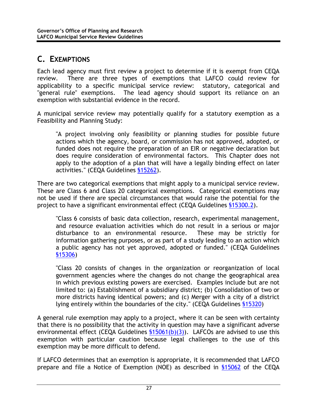### <span id="page-35-0"></span>**C. EXEMPTIONS**

Each lead agency must first review a project to determine if it is exempt from CEQA review. There are three types of exemptions that LAFCO could review for applicability to a specific municipal service review: statutory, categorical and "general rule" exemptions. The lead agency should support its reliance on an exemption with substantial evidence in the record.

A municipal service review may potentially qualify for a statutory exemption as a Feasibility and Planning Study:

"A project involving only feasibility or planning studies for possible future actions which the agency, board, or commission has not approved, adopted, or funded does not require the preparation of an EIR or negative declaration but does require consideration of environmental factors. This Chapter does not apply to the adoption of a plan that will have a legally binding effect on later activities." (CEQA Guidelines §15262).

There are two categorical exemptions that might apply to a municipal service review. These are Class 6 and Class 20 categorical exemptions. Categorical exemptions may not be used if there are special circumstances that would raise the potential for the project to have a significant environmental effect (CEQA Guidelines §15300.2).

"Class 6 consists of basic data collection, research, experimental management, and resource evaluation activities which do not result in a serious or major disturbance to an environmental resource. These may be strictly for information gathering purposes, or as part of a study leading to an action which a public agency has not yet approved, adopted or funded." (CEQA Guidelines §15306)

"Class 20 consists of changes in the organization or reorganization of local government agencies where the changes do not change the geographical area in which previous existing powers are exercised. Examples include but are not limited to: (a) Establishment of a subsidiary district; (b) Consolidation of two or more districts having identical powers; and (c) Merger with a city of a district lying entirely within the boundaries of the city." (CEQA Guidelines §15320)

A general rule exemption may apply to a project, where it can be seen with certainty that there is no possibility that the activity in question may have a significant adverse environmental effect (CEQA Guidelines  $$15061(b)(3)$ ). LAFCOs are advised to use this exemption with particular caution because legal challenges to the use of this exemption may be more difficult to defend.

If LAFCO determines that an exemption is appropriate, it is recommended that LAFCO prepare and file a Notice of Exemption (NOE) as described in §15062 of the CEQA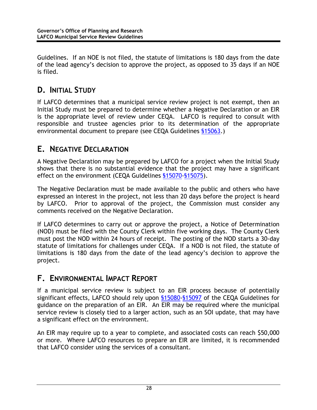<span id="page-36-0"></span>Guidelines. If an NOE is not filed, the statute of limitations is 180 days from the date of the lead agency's decision to approve the project, as opposed to 35 days if an NOE is filed.

### **D. INITIAL STUDY**

If LAFCO determines that a municipal service review project is not exempt, then an Initial Study must be prepared to determine whether a Negative Declaration or an EIR is the appropriate level of review under CEQA. LAFCO is required to consult with responsible and trustee agencies prior to its determination of the appropriate environmental document to prepare (see CEQA Guidelines §15063.)

### **E. NEGATIVE DECLARATION**

A Negative Declaration may be prepared by LAFCO for a project when the Initial Study shows that there is no substantial evidence that the project may have a significant effect on the environment (CEQA Guidelines §15070-§15075).

The Negative Declaration must be made available to the public and others who have expressed an interest in the project, not less than 20 days before the project is heard by LAFCO. Prior to approval of the project, the Commission must consider any comments received on the Negative Declaration.

If LAFCO determines to carry out or approve the project, a Notice of Determination (NOD) must be filed with the County Clerk within five working days. The County Clerk must post the NOD within 24 hours of receipt. The posting of the NOD starts a 30-day statute of limitations for challenges under CEQA. If a NOD is not filed, the statute of limitations is 180 days from the date of the lead agency's decision to approve the project.

### **F. ENVIRONMENTAL IMPACT REPORT**

If a municipal service review is subject to an EIR process because of potentially significant effects, LAFCO should rely upon §15080-§15097 of the CEQA Guidelines for guidance on the preparation of an EIR. An EIR may be required where the municipal service review is closely tied to a larger action, such as an SOI update, that may have a significant effect on the environment.

An EIR may require up to a year to complete, and associated costs can reach \$50,000 or more. Where LAFCO resources to prepare an EIR are limited, it is recommended that LAFCO consider using the services of a consultant.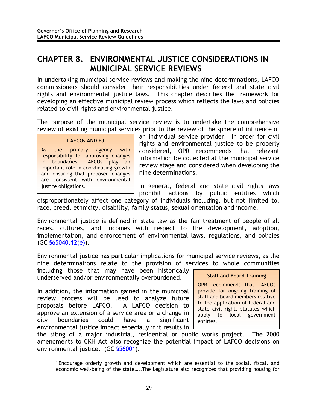### <span id="page-37-0"></span>**CHAPTER 8. ENVIRONMENTAL JUSTICE CONSIDERATIONS IN MUNICIPAL SERVICE REVIEWS**

In undertaking municipal service reviews and making the nine determinations, LAFCO commissioners should consider their responsibilities under federal and state civil rights and environmental justice laws. This chapter describes the framework for developing an effective municipal review process which reflects the laws and policies related to civil rights and environmental justice.

The purpose of the municipal service review is to undertake the comprehensive review of existing municipal services prior to the review of the sphere of influence of

#### **LAFCOs AND EJ**

As the primary agency with responsibility for approving changes in boundaries, LAFCOs play an important role in coordinating growth and ensuring that proposed changes are consistent with environmental justice obligations.

an individual service provider. In order for civil rights and environmental justice to be properly considered, OPR recommends that relevant information be collected at the municipal service review stage and considered when developing the nine determinations.

In general, federal and state civil rights laws prohibit actions by public entities which

disproportionately affect one category of individuals including, but not limited to, race, creed, ethnicity, disability, family status, sexual orientation and income.

Environmental justice is defined in state law as the fair treatment of people of all races, cultures, and incomes with respect to the development, adoption, implementation, and enforcement of environmental laws, regulations, and policies (GC §65040.12(e)).

Environmental justice has particular implications for municipal service reviews, as the nine determinations relate to the provision of services to whole communities

including those that may have been historically underserved and/or environmentally overburdened.

In addition, the information gained in the municipal review process will be used to analyze future proposals before LAFCO. A LAFCO decision to approve an extension of a service area or a change in city boundaries could have a significant environmental justice impact especially if it results in

#### **Staff and Board Training**

OPR recommends that LAFCOs provide for ongoing training of staff and board members relative to the application of federal and state civil rights statutes which apply to local government entities.

the siting of a major industrial, residential or public works project. The 2000 amendments to CKH Act also recognize the potential impact of LAFCO decisions on environmental justice. (GC §56001):

"Encourage orderly growth and development which are essential to the social, fiscal, and economic well-being of the state…..The Legislature also recognizes that providing housing for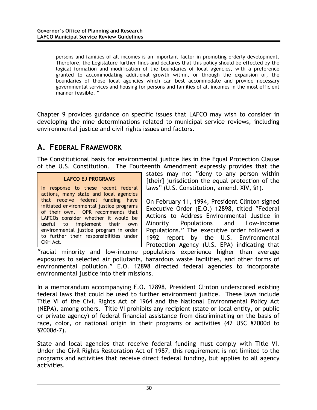<span id="page-38-0"></span>persons and families of all incomes is an important factor in promoting orderly development. Therefore, the Legislature further finds and declares that this policy should be effected by the logical formation and modification of the boundaries of local agencies, with a preference granted to accommodating additional growth within, or through the expansion of, the boundaries of those local agencies which can best accommodate and provide necessary governmental services and housing for persons and families of all incomes in the most efficient manner feasible. "

Chapter 9 provides guidance on specific issues that LAFCO may wish to consider in developing the nine determinations related to municipal service reviews, including environmental justice and civil rights issues and factors.

### **A. FEDERAL FRAMEWORK**

The Constitutional basis for environmental justice lies in the Equal Protection Clause of the U.S. Constitution. The Fourteenth Amendment expressly provides that the

#### **LAFCO EJ PROGRAMS**

In response to these recent federal actions, many state and local agencies that receive federal funding have initiated environmental justice programs of their own. OPR recommends that LAFCOs consider whether it would be useful to implement their own environmental justice program in order to further their responsibilities under CKH Act.

states may not "deny to any person within [their] jurisdiction the equal protection of the laws" (U.S. Constitution, amend. XIV, §1).

On February 11, 1994, President Clinton signed Executive Order (E.O.) 12898, titled "Federal Actions to Address Environmental Justice in Minority Populations and Low-Income Populations." The executive order followed a 1992 report by the U.S. Environmental Protection Agency (U.S. EPA) indicating that

"racial minority and low-income populations experience higher than average exposures to selected air pollutants, hazardous waste facilities, and other forms of environmental pollution." E.O. 12898 directed federal agencies to incorporate environmental justice into their missions.

In a memorandum accompanying E.O. 12898, President Clinton underscored existing federal laws that could be used to further environment justice. These laws include Title VI of the Civil Rights Act of 1964 and the National Environmental Policy Act (NEPA), among others. Title VI prohibits any recipient (state or local entity, or public or private agency) of federal financial assistance from discriminating on the basis of race, color, or national origin in their programs or activities (42 USC §2000d to §2000d-7).

State and local agencies that receive federal funding must comply with Title VI. Under the Civil Rights Restoration Act of 1987, this requirement is not limited to the programs and activities that receive direct federal funding, but applies to all agency activities.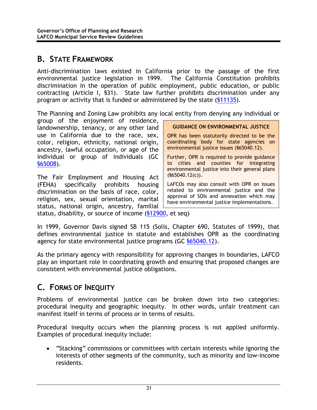### <span id="page-39-0"></span>**B. STATE FRAMEWORK**

Anti-discrimination laws existed in California prior to the passage of the first environmental justice legislation in 1999. The California Constitution prohibits discrimination in the operation of public employment, public education, or public contracting (Article I, §31). State law further prohibits discrimination under any program or activity that is funded or administered by the state (§11135).

The Planning and Zoning Law prohibits any local entity from denying any individual or

group of the enjoyment of residence, landownership, tenancy, or any other land use in California due to the race, sex, color, religion, ethnicity, national origin, ancestry, lawful occupation, or age of the individual or group of individuals (GC §65008).

The Fair Employment and Housing Act (FEHA) specifically prohibits housing discrimination on the basis of race, color, religion, sex, sexual orientation, marital status, national origin, ancestry, familial **GUIDANCE ON ENVIRONMENTAL JUSTICE** 

OPR has been statutorily directed to be the coordinating body for state agencies on environmental justice issues (§65040.12).

Further, OPR is required to provide guidance to cities and counties for integrating environmental justice into their general plans (§65040.12(c)).

LAFCOs may also consult with OPR on issues related to environmental justice and the approval of SOIs and annexation which may have environmental justice implementations.

status, disability, or source of income (§12900, et seq)

In 1999, Governor Davis signed SB 115 (Solis, Chapter 690, Statutes of 1999), that defines environmental justice in statute and establishes OPR as the coordinating agency for state environmental justice programs (GC §65040.12).

As the primary agency with responsibility for approving changes in boundaries, LAFCO play an important role in coordinating growth and ensuring that proposed changes are consistent with environmental justice obligations.

### **C. FORMS OF INEQUITY**

Problems of environmental justice can be broken down into two categories: procedural inequity and geographic inequity. In other words, unfair treatment can manifest itself in terms of process or in terms of results.

Procedural inequity occurs when the planning process is not applied uniformly. Examples of procedural inequity include:

• "Stacking" commissions or committees with certain interests while ignoring the interests of other segments of the community, such as minority and low-income residents.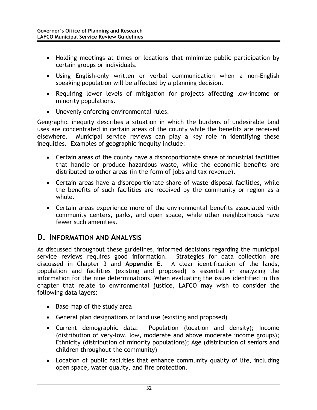- <span id="page-40-0"></span>• Holding meetings at times or locations that minimize public participation by certain groups or individuals.
- Using English-only written or verbal communication when a non-English speaking population will be affected by a planning decision.
- Requiring lower levels of mitigation for projects affecting low-income or minority populations.
- Unevenly enforcing environmental rules.

Geographic inequity describes a situation in which the burdens of undesirable land uses are concentrated in certain areas of the county while the benefits are received elsewhere. Municipal service reviews can play a key role in identifying these inequities. Examples of geographic inequity include:

- Certain areas of the county have a disproportionate share of industrial facilities that handle or produce hazardous waste, while the economic benefits are distributed to other areas (in the form of jobs and tax revenue).
- Certain areas have a disproportionate share of waste disposal facilities, while the benefits of such facilities are received by the community or region as a whole.
- Certain areas experience more of the environmental benefits associated with community centers, parks, and open space, while other neighborhoods have fewer such amenities.

#### **D. INFORMATION AND ANALYSIS**

As discussed throughout these guidelines, informed decisions regarding the municipal service reviews requires good information. Strategies for data collection are discussed in Chapter 3 and **Appendix E**. A clear identification of the lands, population and facilities (existing and proposed) is essential in analyzing the information for the nine determinations. When evaluating the issues identified in this chapter that relate to environmental justice, LAFCO may wish to consider the following data layers:

- Base map of the study area
- General plan designations of land use (existing and proposed)
- Current demographic data: Population (location and density); Income (distribution of very-low, low, moderate and above moderate income groups); Ethnicity (distribution of minority populations); Age (distribution of seniors and children throughout the community)
- Location of public facilities that enhance community quality of life, including open space, water quality, and fire protection.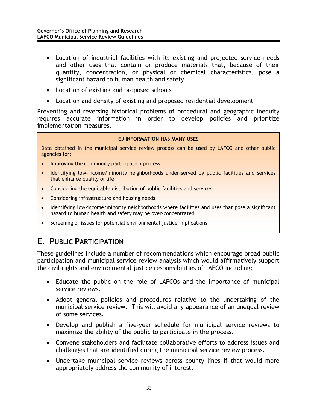- <span id="page-41-0"></span>• Location of industrial facilities with its existing and projected service needs and other uses that contain or produce materials that, because of their quantity, concentration, or physical or chemical characteristics, pose a significant hazard to human health and safety
- Location of existing and proposed schools
- Location and density of existing and proposed residential development

Preventing and reversing historical problems of procedural and geographic inequity requires accurate information in order to develop policies and prioritize implementation measures.

#### **EJ INFORMATION HAS MANY USES**

Data obtained in the municipal service review process can be used by LAFCO and other public agencies for:

- Improving the community participation process
- Identifying low-income/minority neighborhoods under-served by public facilities and services that enhance quality of life
- Considering the equitable distribution of public facilities and services
- Considering infrastructure and housing needs
- Identifying low-income/minority neighborhoods where facilities and uses that pose a significant hazard to human health and safety may be over-concentrated
- Screening of issues for potential environmental justice implications

### **E. PUBLIC PARTICIPATION**

These guidelines include a number of recommendations which encourage broad public participation and municipal service review analysis which would affirmatively support the civil rights and environmental justice responsibilities of LAFCO including:

- Educate the public on the role of LAFCOs and the importance of municipal service reviews.
- Adopt general policies and procedures relative to the undertaking of the municipal service review. This will avoid any appearance of an unequal review of some services.
- Develop and publish a five-year schedule for municipal service reviews to maximize the ability of the public to participate in the process.
- Convene stakeholders and facilitate collaborative efforts to address issues and challenges that are identified during the municipal service review process.
- Undertake municipal service reviews across county lines if that would more appropriately address the community of interest.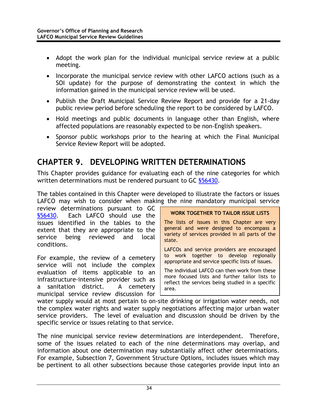- <span id="page-42-0"></span>• Adopt the work plan for the individual municipal service review at a public meeting.
- Incorporate the municipal service review with other LAFCO actions (such as a SOI update) for the purpose of demonstrating the context in which the information gained in the municipal service review will be used.
- Publish the Draft Municipal Service Review Report and provide for a 21-day public review period before scheduling the report to be considered by LAFCO.
- Hold meetings and public documents in language other than English, where affected populations are reasonably expected to be non-English speakers.
- Sponsor public workshops prior to the hearing at which the Final Municipal Service Review Report will be adopted.

### **CHAPTER 9. DEVELOPING WRITTEN DETERMINATIONS**

This Chapter provides guidance for evaluating each of the nine categories for which written determinations must be rendered pursuant to GC \$56430.

The tables contained in this Chapter were developed to illustrate the factors or issues LAFCO may wish to consider when making the nine mandatory municipal service

review determinations pursuant to GC §56430. Each LAFCO should use the issues identified in the tables to the extent that they are appropriate to the service being reviewed and local conditions.

For example, the review of a cemetery service will not include the complex evaluation of items applicable to an infrastructure-intensive provider such as a sanitation district. A cemetery municipal service review discussion for

#### **WORK TOGETHER TO TAILOR ISSUE LISTS**

The lists of issues in this Chapter are very general and were designed to encompass a variety of services provided in all parts of the state.

LAFCOs and service providers are encouraged to work together to develop regionally appropriate and service specific lists of issues.

The individual LAFCO can then work from these more focused lists and further tailor lists to reflect the services being studied in a specific area.

water supply would at most pertain to on-site drinking or irrigation water needs, not the complex water rights and water supply negotiations affecting major urban water service providers. The level of evaluation and discussion should be driven by the specific service or issues relating to that service.

The nine municipal service review determinations are interdependent. Therefore, some of the issues related to each of the nine determinations may overlap, and information about one determination may substantially affect other determinations. For example, Subsection 7, Government Structure Options, includes issues which may be pertinent to all other subsections because those categories provide input into an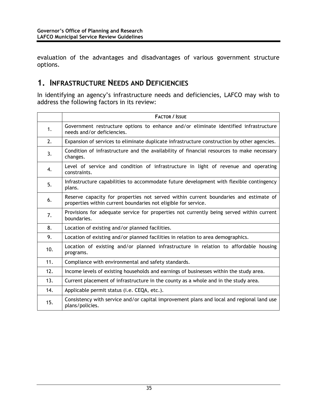<span id="page-43-0"></span>evaluation of the advantages and disadvantages of various government structure options.

#### **1. INFRASTRUCTURE NEEDS AND DEFICIENCIES**

In identifying an agency's infrastructure needs and deficiencies, LAFCO may wish to address the following factors in its review:

|     | <b>FACTOR / ISSUE</b>                                                                                                                                  |
|-----|--------------------------------------------------------------------------------------------------------------------------------------------------------|
| 1.  | Government restructure options to enhance and/or eliminate identified infrastructure<br>needs and/or deficiencies.                                     |
| 2.  | Expansion of services to eliminate duplicate infrastructure construction by other agencies.                                                            |
| 3.  | Condition of infrastructure and the availability of financial resources to make necessary<br>changes.                                                  |
| 4.  | Level of service and condition of infrastructure in light of revenue and operating<br>constraints.                                                     |
| 5.  | Infrastructure capabilities to accommodate future development with flexible contingency<br>plans.                                                      |
| 6.  | Reserve capacity for properties not served within current boundaries and estimate of<br>properties within current boundaries not eligible for service. |
| 7.  | Provisions for adequate service for properties not currently being served within current<br>boundaries.                                                |
| 8.  | Location of existing and/or planned facilities.                                                                                                        |
| 9.  | Location of existing and/or planned facilities in relation to area demographics.                                                                       |
| 10. | Location of existing and/or planned infrastructure in relation to affordable housing<br>programs.                                                      |
| 11. | Compliance with environmental and safety standards.                                                                                                    |
| 12. | Income levels of existing households and earnings of businesses within the study area.                                                                 |
| 13. | Current placement of infrastructure in the county as a whole and in the study area.                                                                    |
| 14. | Applicable permit status (i.e. CEQA, etc.).                                                                                                            |
| 15. | Consistency with service and/or capital improvement plans and local and regional land use<br>plans/policies.                                           |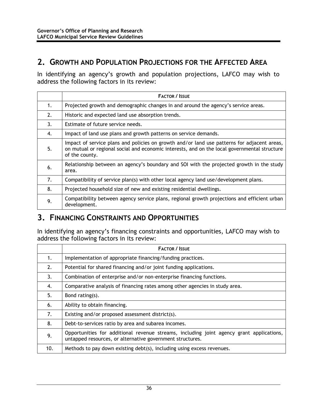#### <span id="page-44-0"></span>**2. GROWTH AND POPULATION PROJECTIONS FOR THE AFFECTED AREA**

In identifying an agency's growth and population projections, LAFCO may wish to address the following factors in its review:

|    | <b>FACTOR / ISSUE</b>                                                                                                                                                                                         |
|----|---------------------------------------------------------------------------------------------------------------------------------------------------------------------------------------------------------------|
| 1. | Projected growth and demographic changes in and around the agency's service areas.                                                                                                                            |
| 2. | Historic and expected land use absorption trends.                                                                                                                                                             |
| 3. | Estimate of future service needs.                                                                                                                                                                             |
| 4. | Impact of land use plans and growth patterns on service demands.                                                                                                                                              |
| 5. | Impact of service plans and policies on growth and/or land use patterns for adjacent areas,<br>on mutual or regional social and economic interests, and on the local governmental structure<br>of the county. |
| 6. | Relationship between an agency's boundary and SOI with the projected growth in the study<br>area.                                                                                                             |
| 7. | Compatibility of service plan(s) with other local agency land use/development plans.                                                                                                                          |
| 8. | Projected household size of new and existing residential dwellings.                                                                                                                                           |
| 9. | Compatibility between agency service plans, regional growth projections and efficient urban<br>development.                                                                                                   |

#### **3. FINANCING CONSTRAINTS AND OPPORTUNITIES**

In identifying an agency's financing constraints and opportunities, LAFCO may wish to address the following factors in its review:

|     | <b>FACTOR / ISSUE</b>                                                                                                                                 |
|-----|-------------------------------------------------------------------------------------------------------------------------------------------------------|
| 1.  | Implementation of appropriate financing/funding practices.                                                                                            |
| 2.  | Potential for shared financing and/or joint funding applications.                                                                                     |
| 3.  | Combination of enterprise and/or non-enterprise financing functions.                                                                                  |
| 4.  | Comparative analysis of financing rates among other agencies in study area.                                                                           |
| 5.  | Bond rating(s).                                                                                                                                       |
| 6.  | Ability to obtain financing.                                                                                                                          |
| 7.  | Existing and/or proposed assessment district(s).                                                                                                      |
| 8.  | Debt-to-services ratio by area and subarea incomes.                                                                                                   |
| 9.  | Opportunities for additional revenue streams, including joint agency grant applications,<br>untapped resources, or alternative government structures. |
| 10. | Methods to pay down existing debt(s), including using excess revenues.                                                                                |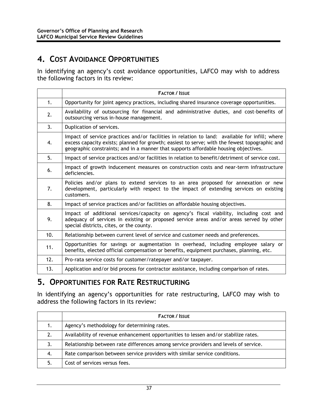### <span id="page-45-0"></span>**4. COST AVOIDANCE OPPORTUNITIES**

In identifying an agency's cost avoidance opportunities, LAFCO may wish to address the following factors in its review:

|     | <b>FACTOR / ISSUE</b>                                                                                                                                                                                                                                                                   |
|-----|-----------------------------------------------------------------------------------------------------------------------------------------------------------------------------------------------------------------------------------------------------------------------------------------|
| 1.  | Opportunity for joint agency practices, including shared insurance coverage opportunities.                                                                                                                                                                                              |
| 2.  | Availability of outsourcing for financial and administrative duties, and cost-benefits of<br>outsourcing versus in-house management.                                                                                                                                                    |
| 3.  | Duplication of services.                                                                                                                                                                                                                                                                |
| 4.  | Impact of service practices and/or facilities in relation to land: available for infill; where<br>excess capacity exists; planned for growth; easiest to serve; with the fewest topographic and<br>geographic constraints; and in a manner that supports affordable housing objectives. |
| 5.  | Impact of service practices and/or facilities in relation to benefit/detriment of service cost.                                                                                                                                                                                         |
| 6.  | Impact of growth inducement measures on construction costs and near-term infrastructure<br>deficiencies.                                                                                                                                                                                |
| 7.  | Policies and/or plans to extend services to an area proposed for annexation or new<br>development, particularly with respect to the impact of extending services on existing<br>customers.                                                                                              |
| 8.  | Impact of service practices and/or facilities on affordable housing objectives.                                                                                                                                                                                                         |
| 9.  | Impact of additional services/capacity on agency's fiscal viability, including cost and<br>adequacy of services in existing or proposed service areas and/or areas served by other<br>special districts, cites, or the county.                                                          |
| 10. | Relationship between current level of service and customer needs and preferences.                                                                                                                                                                                                       |
| 11. | Opportunities for savings or augmentation in overhead, including employee salary or<br>benefits, elected official compensation or benefits, equipment purchases, planning, etc.                                                                                                         |
| 12. | Pro-rata service costs for customer/ratepayer and/or taxpayer.                                                                                                                                                                                                                          |
| 13. | Application and/or bid process for contractor assistance, including comparison of rates.                                                                                                                                                                                                |

#### **5. OPPORTUNITIES FOR RATE RESTRUCTURING**

In identifying an agency's opportunities for rate restructuring, LAFCO may wish to address the following factors in its review:

|    | <b>FACTOR / ISSUE</b>                                                                |
|----|--------------------------------------------------------------------------------------|
|    | Agency's methodology for determining rates.                                          |
| 2. | Availability of revenue enhancement opportunities to lessen and/or stabilize rates.  |
| 3. | Relationship between rate differences among service providers and levels of service. |
| 4. | Rate comparison between service providers with similar service conditions.           |
| 5. | Cost of services versus fees.                                                        |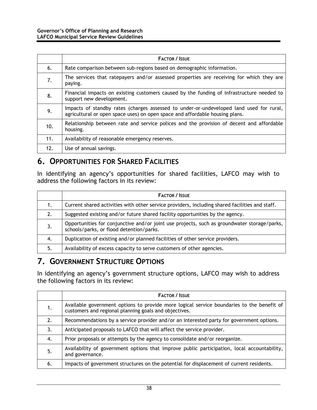<span id="page-46-0"></span>

|     | <b>FACTOR / ISSUE</b>                                                                                                                                                   |
|-----|-------------------------------------------------------------------------------------------------------------------------------------------------------------------------|
| 6.  | Rate comparison between sub-regions based on demographic information.                                                                                                   |
| 7.  | The services that ratepayers and/or assessed properties are receiving for which they are<br>paying.                                                                     |
| 8.  | Financial impacts on existing customers caused by the funding of infrastructure needed to<br>support new development.                                                   |
| 9.  | Impacts of standby rates (charges assessed to under-or-undeveloped land used for rural,<br>agricultural or open space uses) on open space and affordable housing plans. |
| 10. | Relationship between rate and service polices and the provision of decent and affordable<br>housing.                                                                    |
| 11. | Availability of reasonable emergency reserves.                                                                                                                          |
| 12. | Use of annual savings.                                                                                                                                                  |

### **6. OPPORTUNITIES FOR SHARED FACILITIES**

In identifying an agency's opportunities for shared facilities, LAFCO may wish to address the following factors in its review:

|    | <b>FACTOR / ISSUE</b>                                                                                                                   |
|----|-----------------------------------------------------------------------------------------------------------------------------------------|
|    | Current shared activities with other service providers, including shared facilities and staff.                                          |
|    | Suggested existing and/or future shared facility opportunities by the agency.                                                           |
| 3. | Opportunities for conjunctive and/or joint use projects, such as groundwater storage/parks,<br>schools/parks, or flood detention/parks. |
| 4. | Duplication of existing and/or planned facilities of other service providers.                                                           |
| 5. | Availability of excess capacity to serve customers of other agencies.                                                                   |

### **7. GOVERNMENT STRUCTURE OPTIONS**

In identifying an agency's government structure options, LAFCO may wish to address the following factors in its review:

|    | <b>FACTOR / ISSUE</b>                                                                                                                              |
|----|----------------------------------------------------------------------------------------------------------------------------------------------------|
| 1. | Available government options to provide more logical service boundaries to the benefit of<br>customers and regional planning goals and objectives. |
| 2. | Recommendations by a service provider and/or an interested party for government options.                                                           |
| 3. | Anticipated proposals to LAFCO that will affect the service provider.                                                                              |
| 4. | Prior proposals or attempts by the agency to consolidate and/or reorganize.                                                                        |
| .5 | Availability of government options that improve public participation, local accountability,<br>and governance.                                     |
| 6. | Impacts of government structures on the potential for displacement of current residents.                                                           |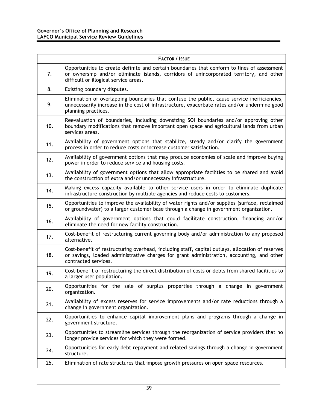|     | <b>FACTOR / ISSUE</b>                                                                                                                                                                                                           |
|-----|---------------------------------------------------------------------------------------------------------------------------------------------------------------------------------------------------------------------------------|
| 7.  | Opportunities to create definite and certain boundaries that conform to lines of assessment<br>or ownership and/or eliminate islands, corridors of unincorporated territory, and other<br>difficult or illogical service areas. |
| 8.  | Existing boundary disputes.                                                                                                                                                                                                     |
| 9.  | Elimination of overlapping boundaries that confuse the public, cause service inefficiencies,<br>unnecessarily increase in the cost of infrastructure, exacerbate rates and/or undermine good<br>planning practices.             |
| 10. | Reevaluation of boundaries, including downsizing SOI boundaries and/or approving other<br>boundary modifications that remove important open space and agricultural lands from urban<br>services areas.                          |
| 11. | Availability of government options that stabilize, steady and/or clarify the government<br>process in order to reduce costs or increase customer satisfaction.                                                                  |
| 12. | Availability of government options that may produce economies of scale and improve buying<br>power in order to reduce service and housing costs.                                                                                |
| 13. | Availability of government options that allow appropriate facilities to be shared and avoid<br>the construction of extra and/or unnecessary infrastructure.                                                                     |
| 14. | Making excess capacity available to other service users in order to eliminate duplicate<br>infrastructure construction by multiple agencies and reduce costs to customers.                                                      |
| 15. | Opportunities to improve the availability of water rights and/or supplies (surface, reclaimed<br>or groundwater) to a larger customer base through a change in government organization.                                         |
| 16. | Availability of government options that could facilitate construction, financing and/or<br>eliminate the need for new facility construction.                                                                                    |
| 17. | Cost-benefit of restructuring current governing body and/or administration to any proposed<br>alternative.                                                                                                                      |
| 18. | Cost-benefit of restructuring overhead, including staff, capital outlays, allocation of reserves<br>or savings, loaded administrative charges for grant administration, accounting, and other<br>contracted services.           |
| 19. | Cost-benefit of restructuring the direct distribution of costs or debts from shared facilities to<br>a larger user population.                                                                                                  |
| 20. | Opportunities for the sale of surplus properties through a change in government<br>organization.                                                                                                                                |
| 21. | Availability of excess reserves for service improvements and/or rate reductions through a<br>change in government organization.                                                                                                 |
| 22. | Opportunities to enhance capital improvement plans and programs through a change in<br>government structure.                                                                                                                    |
| 23. | Opportunities to streamline services through the reorganization of service providers that no<br>longer provide services for which they were formed.                                                                             |
| 24. | Opportunities for early debt repayment and related savings through a change in government<br>structure.                                                                                                                         |
| 25. | Elimination of rate structures that impose growth pressures on open space resources.                                                                                                                                            |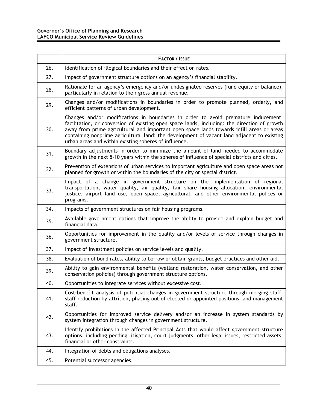|     | <b>FACTOR / ISSUE</b>                                                                                                                                                                                                                                                                                                                                                                                                                  |
|-----|----------------------------------------------------------------------------------------------------------------------------------------------------------------------------------------------------------------------------------------------------------------------------------------------------------------------------------------------------------------------------------------------------------------------------------------|
| 26. | Identification of illogical boundaries and their effect on rates.                                                                                                                                                                                                                                                                                                                                                                      |
| 27. | Impact of government structure options on an agency's financial stability.                                                                                                                                                                                                                                                                                                                                                             |
| 28. | Rationale for an agency's emergency and/or undesignated reserves (fund equity or balance),<br>particularly in relation to their gross annual revenue.                                                                                                                                                                                                                                                                                  |
| 29. | Changes and/or modifications in boundaries in order to promote planned, orderly, and<br>efficient patterns of urban development.                                                                                                                                                                                                                                                                                                       |
| 30. | Changes and/or modifications in boundaries in order to avoid premature inducement,<br>facilitation, or conversion of existing open space lands, including: the direction of growth<br>away from prime agricultural and important open space lands towards infill areas or areas<br>containing nonprime agricultural land; the development of vacant land adjacent to existing<br>urban areas and within existing spheres of influence. |
| 31. | Boundary adjustments in order to minimize the amount of land needed to accommodate<br>growth in the next 5-10 years within the spheres of influence of special districts and cities.                                                                                                                                                                                                                                                   |
| 32. | Prevention of extensions of urban services to important agriculture and open space areas not<br>planned for growth or within the boundaries of the city or special district.                                                                                                                                                                                                                                                           |
| 33. | Impact of a change in government structure on the implementation of regional<br>transportation, water quality, air quality, fair share housing allocation, environmental<br>justice, airport land use, open space, agricultural, and other environmental polices or<br>programs.                                                                                                                                                       |
| 34. | Impacts of government structures on fair housing programs.                                                                                                                                                                                                                                                                                                                                                                             |
| 35. | Available government options that improve the ability to provide and explain budget and<br>financial data.                                                                                                                                                                                                                                                                                                                             |
| 36. | Opportunities for improvement in the quality and/or levels of service through changes in<br>government structure.                                                                                                                                                                                                                                                                                                                      |
| 37. | Impact of investment policies on service levels and quality.                                                                                                                                                                                                                                                                                                                                                                           |
| 38. | Evaluation of bond rates, ability to borrow or obtain grants, budget practices and other aid.                                                                                                                                                                                                                                                                                                                                          |
| 39. | Ability to gain environmental benefits (wetland restoration, water conservation, and other<br>conservation policies) through government structure options.                                                                                                                                                                                                                                                                             |
| 40. | Opportunities to integrate services without excessive cost.                                                                                                                                                                                                                                                                                                                                                                            |
| 41. | Cost-benefit analysis of potential changes in government structure through merging staff,<br>staff reduction by attrition, phasing out of elected or appointed positions, and management<br>staff.                                                                                                                                                                                                                                     |
| 42. | Opportunities for improved service delivery and/or an increase in system standards by<br>system integration through changes in government structure.                                                                                                                                                                                                                                                                                   |
| 43. | Identify prohibitions in the affected Principal Acts that would affect government structure<br>options, including pending litigation, court judgments, other legal issues, restricted assets,<br>financial or other constraints.                                                                                                                                                                                                       |
| 44. | Integration of debts and obligations analyses.                                                                                                                                                                                                                                                                                                                                                                                         |
| 45. | Potential successor agencies.                                                                                                                                                                                                                                                                                                                                                                                                          |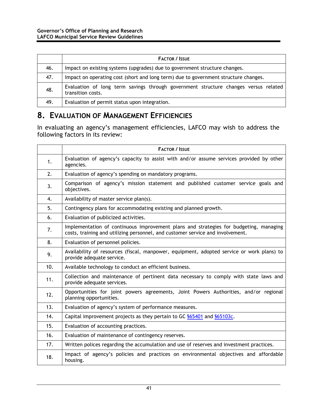<span id="page-49-0"></span>

|     | <b>FACTOR / ISSUE</b>                                                                                    |
|-----|----------------------------------------------------------------------------------------------------------|
| 46. | Impact on existing systems (upgrades) due to government structure changes.                               |
| 47. | Impact on operating cost (short and long term) due to government structure changes.                      |
| 48. | Evaluation of long term savings through government structure changes versus related<br>transition costs. |
| 49. | Evaluation of permit status upon integration.                                                            |

#### **8. EVALUATION OF MANAGEMENT EFFICIENCIES**

In evaluating an agency's management efficiencies, LAFCO may wish to address the following factors in its review:

|     | <b>FACTOR / ISSUE</b>                                                                                                                                                   |
|-----|-------------------------------------------------------------------------------------------------------------------------------------------------------------------------|
| 1.  | Evaluation of agency's capacity to assist with and/or assume services provided by other<br>agencies.                                                                    |
| 2.  | Evaluation of agency's spending on mandatory programs.                                                                                                                  |
| 3.  | Comparison of agency's mission statement and published customer service goals and<br>objectives.                                                                        |
| 4.  | Availability of master service plan(s).                                                                                                                                 |
| 5.  | Contingency plans for accommodating existing and planned growth.                                                                                                        |
| 6.  | Evaluation of publicized activities.                                                                                                                                    |
| 7.  | Implementation of continuous improvement plans and strategies for budgeting, managing<br>costs, training and utilizing personnel, and customer service and involvement. |
| 8.  | Evaluation of personnel policies.                                                                                                                                       |
| 9.  | Availability of resources (fiscal, manpower, equipment, adopted service or work plans) to<br>provide adequate service.                                                  |
| 10. | Available technology to conduct an efficient business.                                                                                                                  |
| 11. | Collection and maintenance of pertinent data necessary to comply with state laws and<br>provide adequate services.                                                      |
| 12. | Opportunities for joint powers agreements, Joint Powers Authorities, and/or regional<br>planning opportunities.                                                         |
| 13. | Evaluation of agency's system of performance measures.                                                                                                                  |
| 14. | Capital improvement projects as they pertain to GC \$65401 and \$65103c.                                                                                                |
| 15. | Evaluation of accounting practices.                                                                                                                                     |
| 16. | Evaluation of maintenance of contingency reserves.                                                                                                                      |
| 17. | Written polices regarding the accumulation and use of reserves and investment practices.                                                                                |
| 18. | Impact of agency's policies and practices on environmental objectives and affordable<br>housing.                                                                        |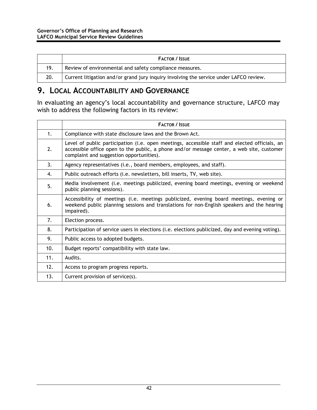<span id="page-50-0"></span>

|     | <b>FACTOR / ISSUE</b>                                                                  |
|-----|----------------------------------------------------------------------------------------|
| 19. | Review of environmental and safety compliance measures.                                |
| 20. | Current litigation and/or grand jury inquiry involving the service under LAFCO review. |

### **9. LOCAL ACCOUNTABILITY AND GOVERNANCE**

In evaluating an agency's local accountability and governance structure, LAFCO may wish to address the following factors in its review:

|     | <b>FACTOR / ISSUE</b>                                                                                                                                                                                                                  |
|-----|----------------------------------------------------------------------------------------------------------------------------------------------------------------------------------------------------------------------------------------|
| 1.  | Compliance with state disclosure laws and the Brown Act.                                                                                                                                                                               |
| 2.  | Level of public participation (i.e. open meetings, accessible staff and elected officials, an<br>accessible office open to the public, a phone and/or message center, a web site, customer<br>complaint and suggestion opportunities). |
| 3.  | Agency representatives (i.e., board members, employees, and staff).                                                                                                                                                                    |
| 4.  | Public outreach efforts (i.e. newsletters, bill inserts, TV, web site).                                                                                                                                                                |
| 5.  | Media involvement (i.e. meetings publicized, evening board meetings, evening or weekend<br>public planning sessions).                                                                                                                  |
| 6.  | Accessibility of meetings (i.e. meetings publicized, evening board meetings, evening or<br>weekend public planning sessions and translations for non-English speakers and the hearing<br>impaired).                                    |
| 7.  | Election process.                                                                                                                                                                                                                      |
| 8.  | Participation of service users in elections (i.e. elections publicized, day and evening voting).                                                                                                                                       |
| 9.  | Public access to adopted budgets.                                                                                                                                                                                                      |
| 10. | Budget reports' compatibility with state law.                                                                                                                                                                                          |
| 11. | Audits.                                                                                                                                                                                                                                |
| 12. | Access to program progress reports.                                                                                                                                                                                                    |
| 13. | Current provision of service(s).                                                                                                                                                                                                       |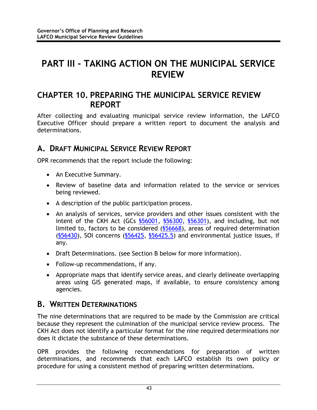# <span id="page-51-0"></span>**PART III - TAKING ACTION ON THE MUNICIPAL SERVICE REVIEW**

### **CHAPTER 10. PREPARING THE MUNICIPAL SERVICE REVIEW REPORT**

After collecting and evaluating municipal service review information, the LAFCO Executive Officer should prepare a written report to document the analysis and determinations.

### **A. DRAFT MUNICIPAL SERVICE REVIEW REPORT**

OPR recommends that the report include the following:

- An Executive Summary.
- Review of baseline data and information related to the service or services being reviewed.
- A description of the public participation process.
- An analysis of services, service providers and other issues consistent with the intent of the CKH Act (GCs §56001, §56300, §56301), and including, but not limited to, factors to be considered (§56668), areas of required determination (§56430), SOI concerns (§56425, §56425.5) and environmental justice issues, if any.
- Draft Determinations. (see Section B below for more information).
- Follow-up recommendations, if any.
- Appropriate maps that identify service areas, and clearly delineate overlapping areas using GIS generated maps, if available, to ensure consistency among agencies.

### **B. WRITTEN DETERMINATIONS**

The nine determinations that are required to be made by the Commission are critical because they represent the culmination of the municipal service review process. The CKH Act does not identify a particular format for the nine required determinations nor does it dictate the substance of these determinations.

OPR provides the following recommendations for preparation of written determinations, and recommends that each LAFCO establish its own policy or procedure for using a consistent method of preparing written determinations.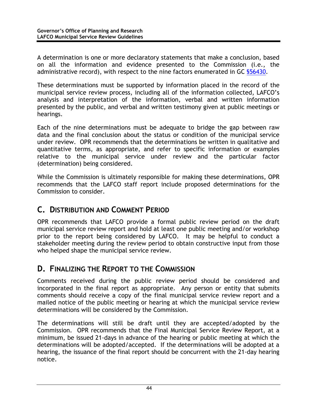<span id="page-52-0"></span>A determination is one or more declaratory statements that make a conclusion, based on all the information and evidence presented to the Commission (i.e., the administrative record), with respect to the nine factors enumerated in GC \$56430.

These determinations must be supported by information placed in the record of the municipal service review process, including all of the information collected, LAFCO's analysis and interpretation of the information, verbal and written information presented by the public, and verbal and written testimony given at public meetings or hearings.

Each of the nine determinations must be adequate to bridge the gap between raw data and the final conclusion about the status or condition of the municipal service under review. OPR recommends that the determinations be written in qualitative and quantitative terms, as appropriate, and refer to specific information or examples relative to the municipal service under review and the particular factor (determination) being considered.

While the Commission is ultimately responsible for making these determinations, OPR recommends that the LAFCO staff report include proposed determinations for the Commission to consider.

#### **C. DISTRIBUTION AND COMMENT PERIOD**

OPR recommends that LAFCO provide a formal public review period on the draft municipal service review report and hold at least one public meeting and/or workshop prior to the report being considered by LAFCO. It may be helpful to conduct a stakeholder meeting during the review period to obtain constructive input from those who helped shape the municipal service review.

#### **D. FINALIZING THE REPORT TO THE COMMISSION**

Comments received during the public review period should be considered and incorporated in the final report as appropriate. Any person or entity that submits comments should receive a copy of the final municipal service review report and a mailed notice of the public meeting or hearing at which the municipal service review determinations will be considered by the Commission.

The determinations will still be draft until they are accepted/adopted by the Commission. OPR recommends that the Final Municipal Service Review Report, at a minimum, be issued 21-days in advance of the hearing or public meeting at which the determinations will be adopted/accepted. If the determinations will be adopted at a hearing, the issuance of the final report should be concurrent with the 21-day hearing notice.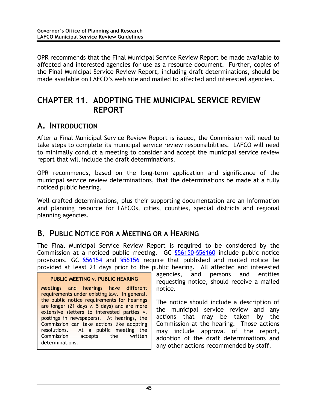<span id="page-53-0"></span>OPR recommends that the Final Municipal Service Review Report be made available to affected and interested agencies for use as a resource document. Further, copies of the Final Municipal Service Review Report, including draft determinations, should be made available on LAFCO's web site and mailed to affected and interested agencies.

### **CHAPTER 11. ADOPTING THE MUNICIPAL SERVICE REVIEW REPORT**

#### **A. INTRODUCTION**

After a Final Municipal Service Review Report is issued, the Commission will need to take steps to complete its municipal service review responsibilities. LAFCO will need to minimally conduct a meeting to consider and accept the municipal service review report that will include the draft determinations.

OPR recommends, based on the long-term application and significance of the municipal service review determinations, that the determinations be made at a fully noticed public hearing.

Well-crafted determinations, plus their supporting documentation are an information and planning resource for LAFCOs, cities, counties, special districts and regional planning agencies.

#### **B. PUBLIC NOTICE FOR A MEETING OR A HEARING**

The Final Municipal Service Review Report is required to be considered by the Commission at a noticed public meeting. GC §56150-§56160 include public notice provisions. GC §56154 and §56156 require that published and mailed notice be provided at least 21 days prior to the public hearing. All affected and interested

#### **PUBLIC MEETING v. PUBLIC HEARING**

Meetings and hearings have different requirements under existing law. In general, the public notice requirements for hearings are longer (21 days v. 5 days) and are more extensive (letters to interested parties v. postings in newspapers). At hearings, the Commission can take actions like adopting resolutions. At a public meeting the Commission accepts the written determinations.

agencies, and persons and entities requesting notice, should receive a mailed notice.

The notice should include a description of the municipal service review and any actions that may be taken by the Commission at the hearing. Those actions may include approval of the report, adoption of the draft determinations and any other actions recommended by staff.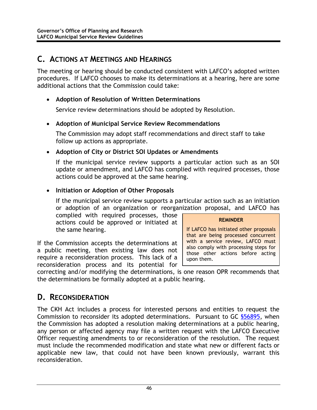### <span id="page-54-0"></span>**C. ACTIONS AT MEETINGS AND HEARINGS**

The meeting or hearing should be conducted consistent with LAFCO's adopted written procedures. If LAFCO chooses to make its determinations at a hearing, here are some additional actions that the Commission could take:

#### • **Adoption of Resolution of Written Determinations**

Service review determinations should be adopted by Resolution.

#### • **Adoption of Municipal Service Review Recommendations**

The Commission may adopt staff recommendations and direct staff to take follow up actions as appropriate.

#### • **Adoption of City or District SOI Updates or Amendments**

If the municipal service review supports a particular action such as an SOI update or amendment, and LAFCO has complied with required processes, those actions could be approved at the same hearing.

#### • **Initiation or Adoption of Other Proposals**

If the municipal service review supports a particular action such as an initiation or adoption of an organization or reorganization proposal, and LAFCO has

complied with required processes, those actions could be approved or initiated at the same hearing.

If the Commission accepts the determinations at a public meeting, then existing law does not require a reconsideration process. This lack of a reconsideration process and its potential for

#### **REMINDER**

If LAFCO has initiated other proposals that are being processed concurrent with a service review, LAFCO must also comply with processing steps for those other actions before acting upon them.

correcting and/or modifying the determinations, is one reason OPR recommends that the determinations be formally adopted at a public hearing.

### **D. RECONSIDERATION**

The CKH Act includes a process for interested persons and entities to request the Commission to reconsider its adopted determinations. Pursuant to GC §56895, when the Commission has adopted a resolution making determinations at a public hearing, any person or affected agency may file a written request with the LAFCO Executive Officer requesting amendments to or reconsideration of the resolution. The request must include the recommended modification and state what new or different facts or applicable new law, that could not have been known previously, warrant this reconsideration.